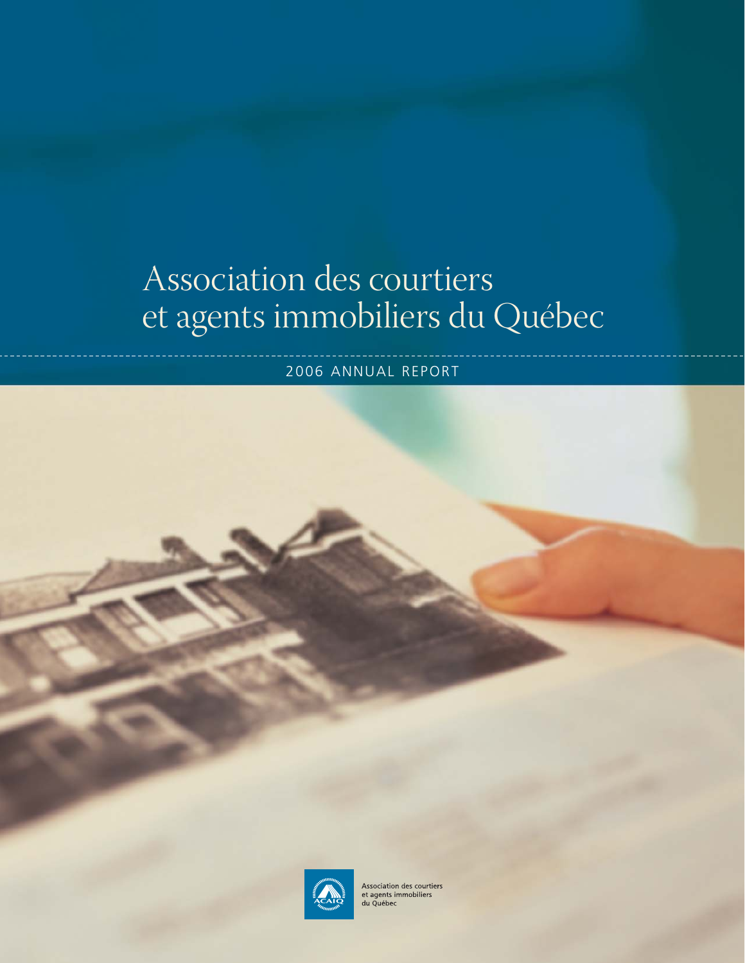# Association des courtiers et agents immobiliers du Québec

2006 ANNUAL REPORT

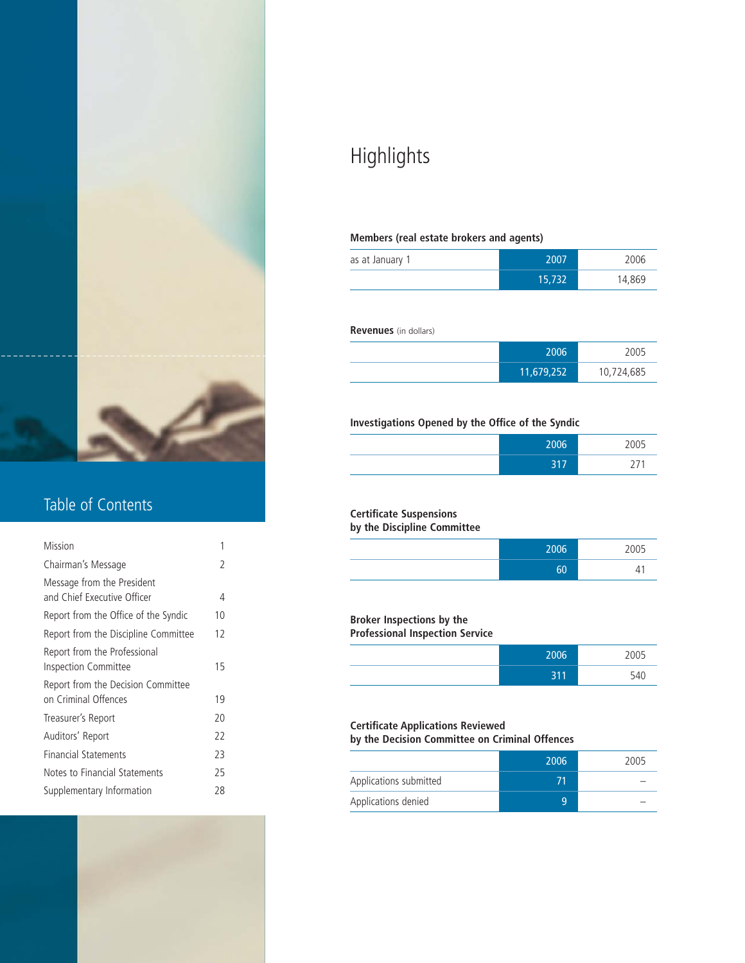

### Table of Contents

| Mission                                                     | 1  |  |
|-------------------------------------------------------------|----|--|
| Chairman's Message                                          | 2  |  |
| Message from the President<br>and Chief Executive Officer   | 4  |  |
| Report from the Office of the Syndic                        | 10 |  |
| Report from the Discipline Committee                        | 12 |  |
| Report from the Professional<br><b>Inspection Committee</b> | 15 |  |
| Report from the Decision Committee<br>on Criminal Offences  | 19 |  |
| Treasurer's Report                                          | 20 |  |
| Auditors' Report                                            | 22 |  |
| <b>Financial Statements</b>                                 | 23 |  |
| Notes to Financial Statements                               | 25 |  |
| Supplementary Information                                   | 28 |  |
|                                                             |    |  |

## Highlights

#### **Members (real estate brokers and agents)**

| as at January 1 | 2007   | 2006   |
|-----------------|--------|--------|
|                 | 15,732 | 14,869 |

#### **Revenues** (in dollars)

| 2006       | 2005       |
|------------|------------|
| 11,679,252 | 10,724,685 |

#### **Investigations Opened by the Office of the Syndic**

| 2006              | 2005 |
|-------------------|------|
| 217<br><u>JII</u> | - '  |

### **Certificate Suspensions**

### **by the Discipline Committee**

| 2006 | $ -$<br>00. |
|------|-------------|
| c٨   | ᅭ           |

#### **Broker Inspections by the**

#### **Professional Inspection Service**

| 2006            | 2005 |
|-----------------|------|
| 711<br>o<br>. . | 540  |

#### **Certificate Applications Reviewed by the Decision Committee on Criminal Offences**

|                        | 2006 | 2005 |
|------------------------|------|------|
| Applications submitted | 71   |      |
| Applications denied    | 9    |      |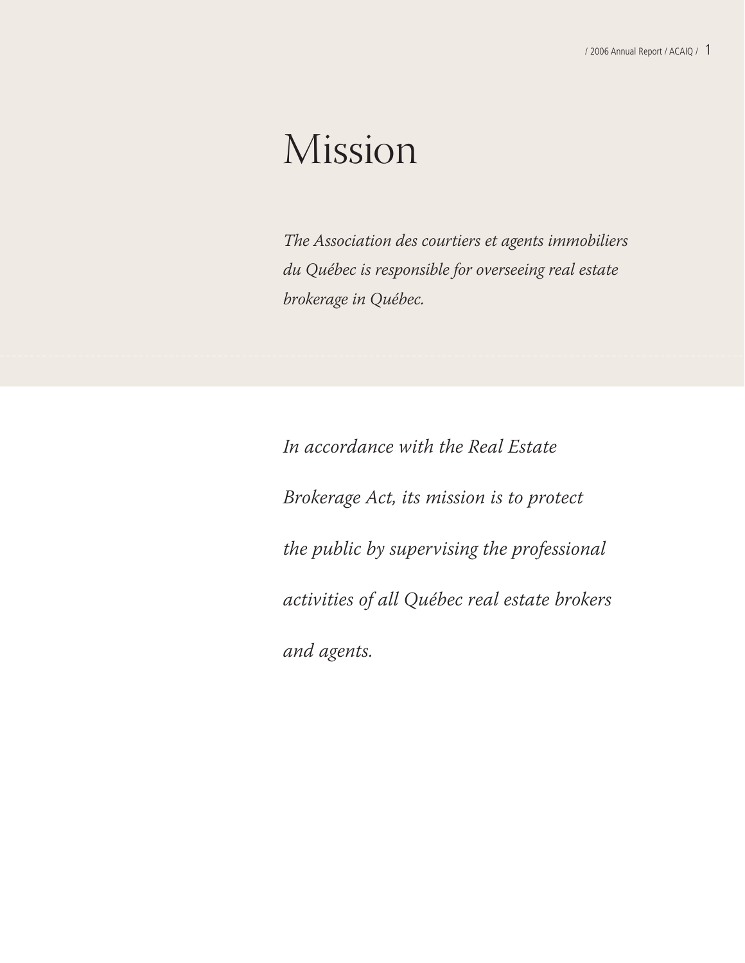# Mission

The Association des courtiers et agents immobiliers du Québec is responsible for overseeing real estate brokerage in Québec.

In accordance with the Real Estate Brokerage Act, its mission is to protect the public by supervising the professional activities of all Québec real estate brokers and agents.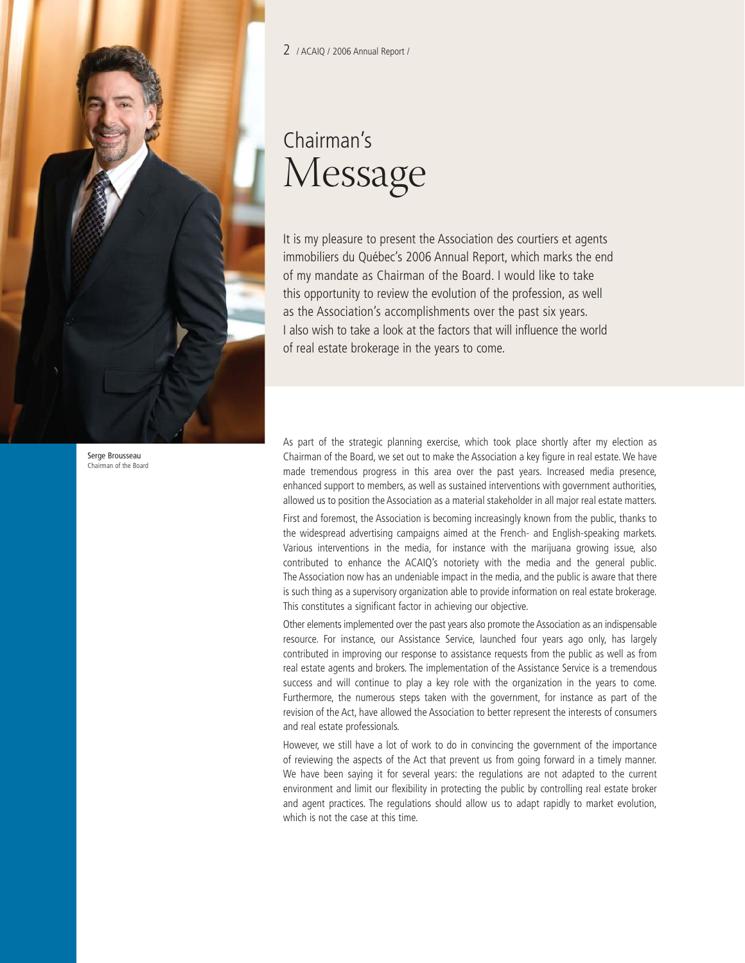

2 / ACAIQ / 2006 Annual Report /

## Chairman's Message

It is my pleasure to present the Association des courtiers et agents immobiliers du Québec's 2006 Annual Report, which marks the end of my mandate as Chairman of the Board. I would like to take this opportunity to review the evolution of the profession, as well as the Association's accomplishments over the past six years. I also wish to take a look at the factors that will influence the world of real estate brokerage in the years to come.

As part of the strategic planning exercise, which took place shortly after my election as Chairman of the Board, we set out to make the Association a key figure in real estate. We have made tremendous progress in this area over the past years. Increased media presence, enhanced support to members, as well as sustained interventions with government authorities, allowed us to position the Association as a material stakeholder in all major real estate matters.

First and foremost, the Association is becoming increasingly known from the public, thanks to the widespread advertising campaigns aimed at the French- and English-speaking markets. Various interventions in the media, for instance with the marijuana growing issue, also contributed to enhance the ACAIQ's notoriety with the media and the general public. The Association now has an undeniable impact in the media, and the public is aware that there is such thing as a supervisory organization able to provide information on real estate brokerage. This constitutes a significant factor in achieving our objective.

Other elements implemented over the past years also promote the Association as an indispensable resource. For instance, our Assistance Service, launched four years ago only, has largely contributed in improving our response to assistance requests from the public as well as from real estate agents and brokers. The implementation of the Assistance Service is a tremendous success and will continue to play a key role with the organization in the years to come. Furthermore, the numerous steps taken with the government, for instance as part of the revision of the Act, have allowed the Association to better represent the interests of consumers and real estate professionals.

However, we still have a lot of work to do in convincing the government of the importance of reviewing the aspects of the Act that prevent us from going forward in a timely manner. We have been saying it for several years: the regulations are not adapted to the current environment and limit our flexibility in protecting the public by controlling real estate broker and agent practices. The regulations should allow us to adapt rapidly to market evolution, which is not the case at this time.

Serge Brousseau Chairman of the Board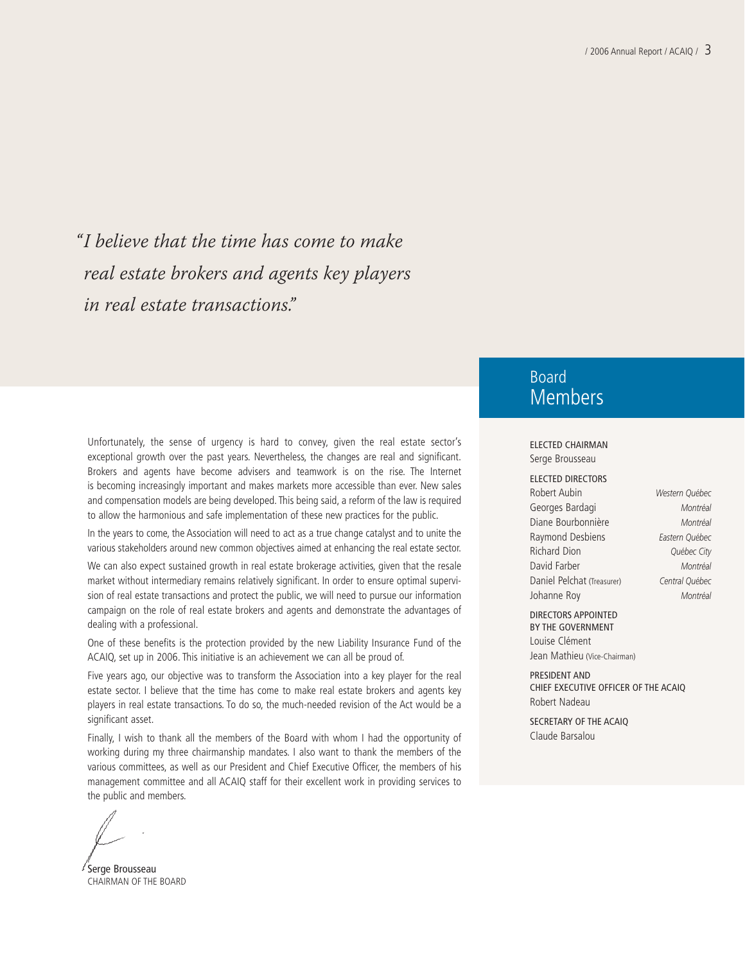"I believe that the time has come to make real estate brokers and agents key players in real estate transactions."

Unfortunately, the sense of urgency is hard to convey, given the real estate sector's exceptional growth over the past years. Nevertheless, the changes are real and significant. Brokers and agents have become advisers and teamwork is on the rise. The Internet is becoming increasingly important and makes markets more accessible than ever. New sales and compensation models are being developed. This being said, a reform of the law is required to allow the harmonious and safe implementation of these new practices for the public.

In the years to come, the Association will need to act as a true change catalyst and to unite the various stakeholders around new common objectives aimed at enhancing the real estate sector.

We can also expect sustained growth in real estate brokerage activities, given that the resale market without intermediary remains relatively significant. In order to ensure optimal supervision of real estate transactions and protect the public, we will need to pursue our information campaign on the role of real estate brokers and agents and demonstrate the advantages of dealing with a professional.

One of these benefits is the protection provided by the new Liability Insurance Fund of the ACAIQ, set up in 2006. This initiative is an achievement we can all be proud of.

Five years ago, our objective was to transform the Association into a key player for the real estate sector. I believe that the time has come to make real estate brokers and agents key players in real estate transactions. To do so, the much-needed revision of the Act would be a significant asset.

Finally, I wish to thank all the members of the Board with whom I had the opportunity of working during my three chairmanship mandates. I also want to thank the members of the various committees, as well as our President and Chief Executive Officer, the members of his management committee and all ACAIQ staff for their excellent work in providing services to the public and members.

Serge Brousseau CHAIRMAN OF THE BOARD

### Board Members

#### ELECTED CHAIRMAN Serge Brousseau

ELECTED DIRECTORS Robert Aubin *Western Québec* Georges Bardagi *Montréal* Diane Bourbonnière *Montréal* Raymond Desbiens *Eastern Québec* Richard Dion *Québec City* David Farber *Montréal* Daniel Pelchat (Treasurer) *Central Québec* Johanne Roy *Montréal*

DIRECTORS APPOINTED BY THE GOVERNMENT

Louise Clément Jean Mathieu (Vice-Chairman)

PRESIDENT AND CHIEF EXECUTIVE OFFICER OF THE ACAIQ Robert Nadeau

SECRETARY OF THE ACAIQ Claude Barsalou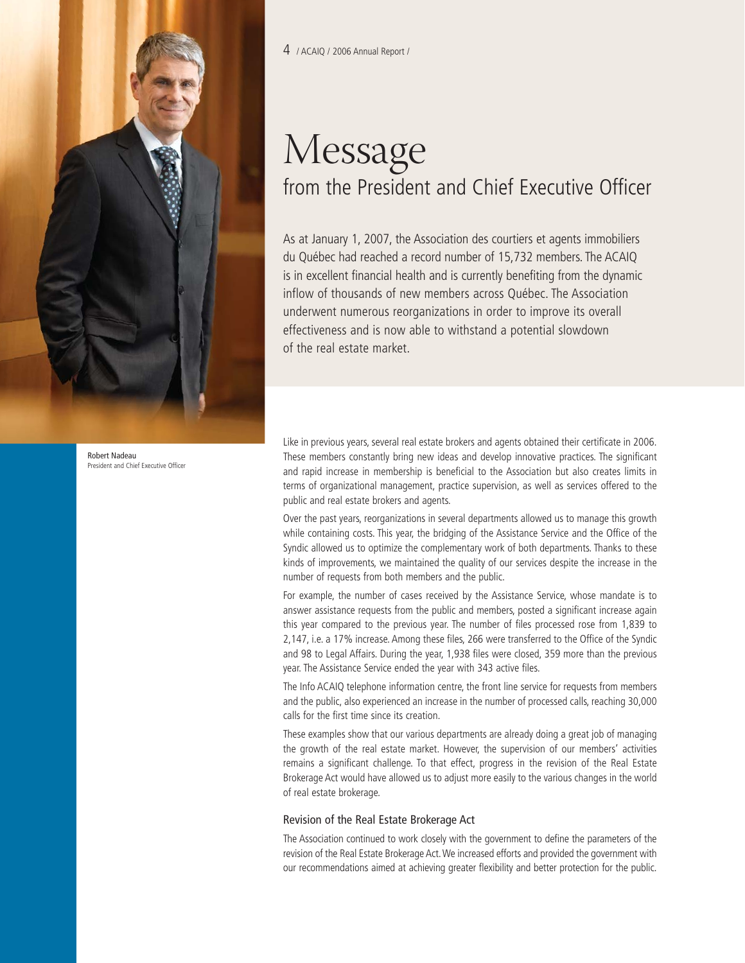

Robert Nadeau President and Chief Executive Office

## Message from the President and Chief Executive Officer

As at January 1, 2007, the Association des courtiers et agents immobiliers du Québec had reached a record number of 15,732 members. The ACAIQ is in excellent financial health and is currently benefiting from the dynamic inflow of thousands of new members across Québec. The Association underwent numerous reorganizations in order to improve its overall effectiveness and is now able to withstand a potential slowdown of the real estate market.

Like in previous years, several real estate brokers and agents obtained their certificate in 2006. These members constantly bring new ideas and develop innovative practices. The significant and rapid increase in membership is beneficial to the Association but also creates limits in terms of organizational management, practice supervision, as well as services offered to the public and real estate brokers and agents.

Over the past years, reorganizations in several departments allowed us to manage this growth while containing costs. This year, the bridging of the Assistance Service and the Office of the Syndic allowed us to optimize the complementary work of both departments. Thanks to these kinds of improvements, we maintained the quality of our services despite the increase in the number of requests from both members and the public.

For example, the number of cases received by the Assistance Service, whose mandate is to answer assistance requests from the public and members, posted a significant increase again this year compared to the previous year. The number of files processed rose from 1,839 to 2,147, i.e. a 17% increase. Among these files, 266 were transferred to the Office of the Syndic and 98 to Legal Affairs. During the year, 1,938 files were closed, 359 more than the previous year. The Assistance Service ended the year with 343 active files.

The Info ACAIQ telephone information centre, the front line service for requests from members and the public, also experienced an increase in the number of processed calls, reaching 30,000 calls for the first time since its creation.

These examples show that our various departments are already doing a great job of managing the growth of the real estate market. However, the supervision of our members' activities remains a significant challenge. To that effect, progress in the revision of the Real Estate Brokerage Act would have allowed us to adjust more easily to the various changes in the world of real estate brokerage.

#### Revision of the Real Estate Brokerage Act

The Association continued to work closely with the government to define the parameters of the revision of the Real Estate Brokerage Act.We increased efforts and provided the government with our recommendations aimed at achieving greater flexibility and better protection for the public.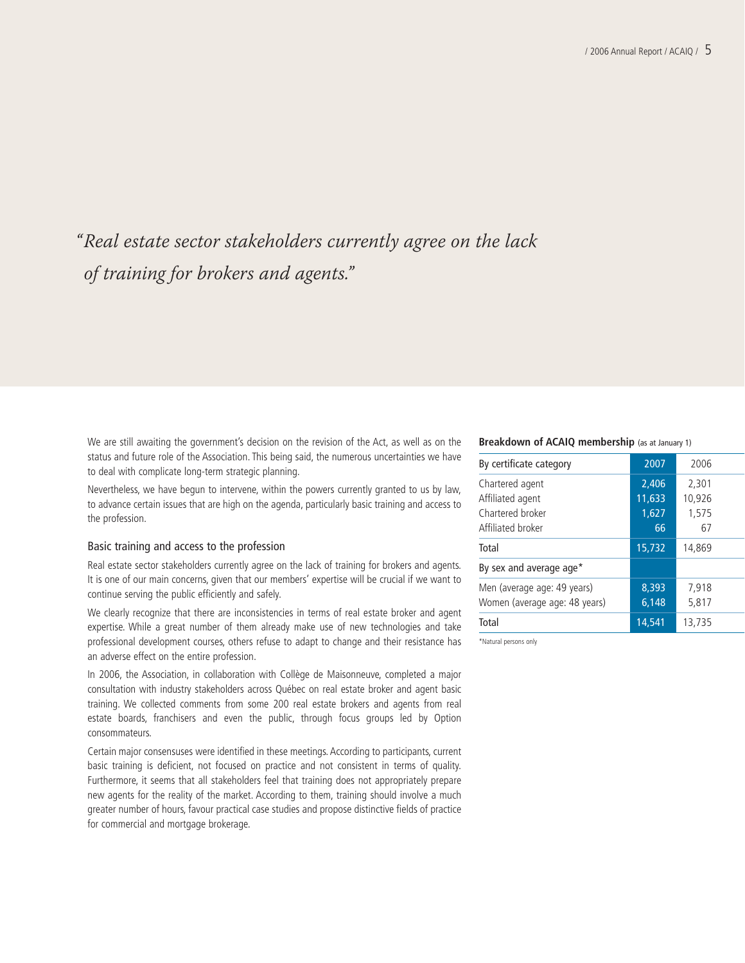## "Real estate sector stakeholders currently agree on the lack of training for brokers and agents."

We are still awaiting the government's decision on the revision of the Act, as well as on the status and future role of the Association. This being said, the numerous uncertainties we have to deal with complicate long-term strategic planning.

Nevertheless, we have begun to intervene, within the powers currently granted to us by law, to advance certain issues that are high on the agenda, particularly basic training and access to the profession.

#### Basic training and access to the profession

Real estate sector stakeholders currently agree on the lack of training for brokers and agents. It is one of our main concerns, given that our members' expertise will be crucial if we want to continue serving the public efficiently and safely.

We clearly recognize that there are inconsistencies in terms of real estate broker and agent expertise. While a great number of them already make use of new technologies and take professional development courses, others refuse to adapt to change and their resistance has an adverse effect on the entire profession.

In 2006, the Association, in collaboration with Collège de Maisonneuve, completed a major consultation with industry stakeholders across Québec on real estate broker and agent basic training. We collected comments from some 200 real estate brokers and agents from real estate boards, franchisers and even the public, through focus groups led by Option consommateurs.

Certain major consensuses were identified in these meetings. According to participants, current basic training is deficient, not focused on practice and not consistent in terms of quality. Furthermore, it seems that all stakeholders feel that training does not appropriately prepare new agents for the reality of the market. According to them, training should involve a much greater number of hours, favour practical case studies and propose distinctive fields of practice for commercial and mortgage brokerage.

#### **Breakdown of ACAIQ membership** (as at January 1)

| By certificate category                                      | 2007            | 2006            |
|--------------------------------------------------------------|-----------------|-----------------|
| Chartered agent<br>Affiliated agent                          | 2,406<br>11,633 | 2,301<br>10,926 |
| Chartered broker<br>Affiliated broker                        | 1,627<br>66     | 1,575<br>67     |
| Total                                                        | 15,732          | 14.869          |
| By sex and average age*                                      |                 |                 |
| Men (average age: 49 years)<br>Women (average age: 48 years) | 8,393<br>6.148  | 7.918<br>5,817  |
| Total                                                        | 14,541          | 13,735          |

\*Natural persons only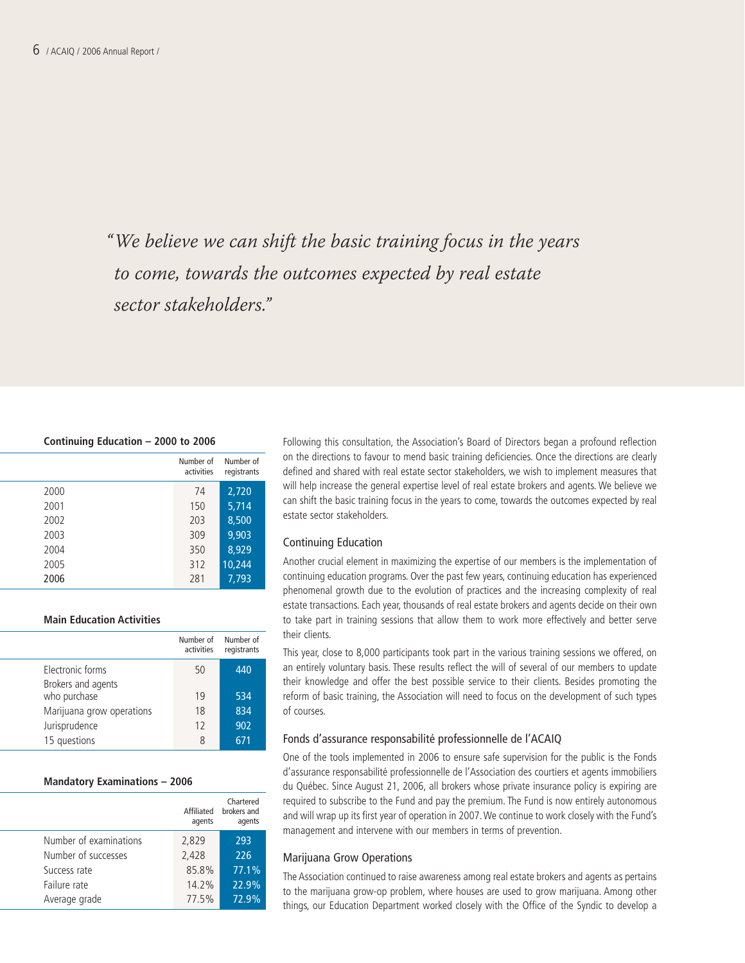"We believe we can shift the basic training focus in the years to come, towards the outcomes expected by real estate sector stakeholders."

#### **Continuing Education – 2000 to 2006**

|      | Number of<br>activities | Number of<br>registrants |
|------|-------------------------|--------------------------|
| 2000 | 74                      | 2,720                    |
| 2001 | 150                     | 5,714                    |
| 2002 | 203                     | 8,500                    |
| 2003 | 309                     | 9,903                    |
| 2004 | 350                     | 8,929                    |
| 2005 | 312                     | 10,244                   |
| 2006 | 281                     | 7.793                    |

#### **Main Education Activities**

|                           | Number of<br>activities | Number of<br>registrants |
|---------------------------|-------------------------|--------------------------|
| Electronic forms          | 50                      | 440                      |
| Brokers and agents        |                         |                          |
| who purchase              | 19                      | 534                      |
| Marijuana grow operations | 18                      | 834                      |
| Jurisprudence             | 12                      | 902                      |
| 15 questions              | 8                       | 671                      |

#### **Mandatory Examinations – 2006**

| Affiliated<br>agents | Chartered<br>brokers and<br>agents |
|----------------------|------------------------------------|
| 2,829                | 293                                |
| 2,428                | 226                                |
| 85.8%                | 77.1%                              |
| 14.2%                | 22.9%                              |
| 77.5%                | 72.9%                              |
|                      |                                    |

Following this consultation, the Association's Board of Directors began a profound reflection on the directions to favour to mend basic training deficiencies. Once the directions are clearly defined and shared with real estate sector stakeholders, we wish to implement measures that will help increase the general expertise level of real estate brokers and agents. We believe we can shift the basic training focus in the years to come, towards the outcomes expected by real estate sector stakeholders.

#### Continuing Education

Another crucial element in maximizing the expertise of our members is the implementation of continuing education programs. Over the past few years, continuing education has experienced phenomenal growth due to the evolution of practices and the increasing complexity of real estate transactions. Each year, thousands of real estate brokers and agents decide on their own to take part in training sessions that allow them to work more effectively and better serve their clients.

This year, close to 8,000 participants took part in the various training sessions we offered, on an entirely voluntary basis. These results reflect the will of several of our members to update their knowledge and offer the best possible service to their clients. Besides promoting the reform of basic training, the Association will need to focus on the development of such types of courses.

#### Fonds d'assurance responsabilité professionnelle de l'ACAIQ

One of the tools implemented in 2006 to ensure safe supervision for the public is the Fonds d'assurance responsabilité professionnelle de l'Association des courtiers et agents immobiliers du Québec. Since August 21, 2006, all brokers whose private insurance policy is expiring are required to subscribe to the Fund and pay the premium. The Fund is now entirely autonomous and will wrap up its first year of operation in 2007.We continue to work closely with the Fund's management and intervene with our members in terms of prevention.

#### Marijuana Grow Operations

The Association continued to raise awareness among real estate brokers and agents as pertains to the marijuana grow-op problem, where houses are used to grow marijuana. Among other things, our Education Department worked closely with the Office of the Syndic to develop a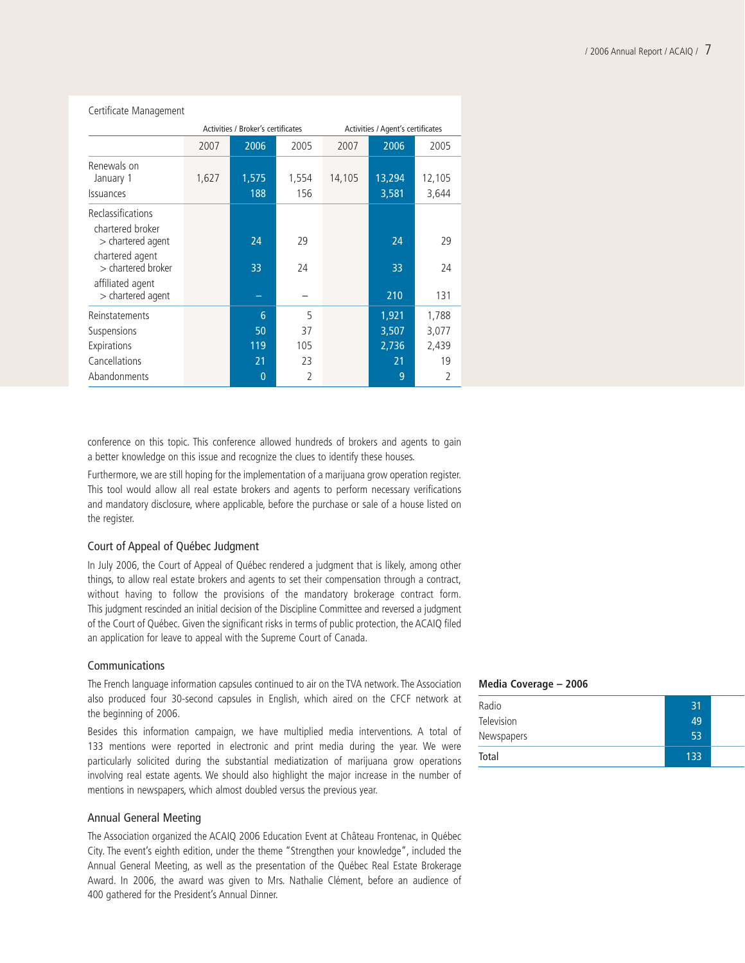| Certificate Management                                                         |                                    |                                      |                                        |        |                                    |                                                 |
|--------------------------------------------------------------------------------|------------------------------------|--------------------------------------|----------------------------------------|--------|------------------------------------|-------------------------------------------------|
|                                                                                | Activities / Broker's certificates |                                      |                                        |        | Activities / Agent's certificates  |                                                 |
|                                                                                | 2007                               | 2006                                 | 2005                                   | 2007   | 2006                               | 2005                                            |
| Renewals on<br>January 1<br>Issuances                                          | 1,627                              | 1,575<br>188                         | 1,554<br>156                           | 14,105 | 13,294<br>3,581                    | 12,105<br>3,644                                 |
| Reclassifications<br>chartered broker<br>$>$ chartered agent                   |                                    | 24                                   | 29                                     |        | 24                                 | 29                                              |
| chartered agent<br>> chartered broker<br>affiliated agent<br>> chartered agent |                                    | 33                                   | 24                                     |        | 33<br>210                          | 24<br>131                                       |
| Reinstatements<br>Suspensions<br>Expirations<br>Cancellations<br>Abandonments  |                                    | 6<br>50<br>119<br>21<br>$\mathbf{0}$ | 5<br>37<br>105<br>23<br>$\overline{2}$ |        | 1,921<br>3,507<br>2,736<br>21<br>9 | 1,788<br>3,077<br>2,439<br>19<br>$\overline{2}$ |

conference on this topic. This conference allowed hundreds of brokers and agents to gain a better knowledge on this issue and recognize the clues to identify these houses.

Furthermore, we are still hoping for the implementation of a marijuana grow operation register. This tool would allow all real estate brokers and agents to perform necessary verifications and mandatory disclosure, where applicable, before the purchase or sale of a house listed on the register.

#### Court of Appeal of Québec Judgment

In July 2006, the Court of Appeal of Québec rendered a judgment that is likely, among other things, to allow real estate brokers and agents to set their compensation through a contract, without having to follow the provisions of the mandatory brokerage contract form. This judgment rescinded an initial decision of the Discipline Committee and reversed a judgment of the Court of Québec. Given the significant risks in terms of public protection, the ACAIQ filed an application for leave to appeal with the Supreme Court of Canada.

#### Communications

The French language information capsules continued to air on the TVA network. The Association also produced four 30-second capsules in English, which aired on the CFCF network at the beginning of 2006.

Besides this information campaign, we have multiplied media interventions. A total of 133 mentions were reported in electronic and print media during the year. We were particularly solicited during the substantial mediatization of marijuana grow operations involving real estate agents. We should also highlight the major increase in the number of mentions in newspapers, which almost doubled versus the previous year.

#### Annual General Meeting

The Association organized the ACAIQ 2006 Education Event at Château Frontenac, in Québec City. The event's eighth edition, under the theme "Strengthen your knowledge", included the Annual General Meeting, as well as the presentation of the Québec Real Estate Brokerage Award. In 2006, the award was given to Mrs. Nathalie Clément, before an audience of 400 gathered for the President's Annual Dinner.

#### **Media Coverage – 2006**

| Radio             | 31  |  |
|-------------------|-----|--|
| <b>Television</b> | 49  |  |
| Newspapers        | 53  |  |
| Total             | 133 |  |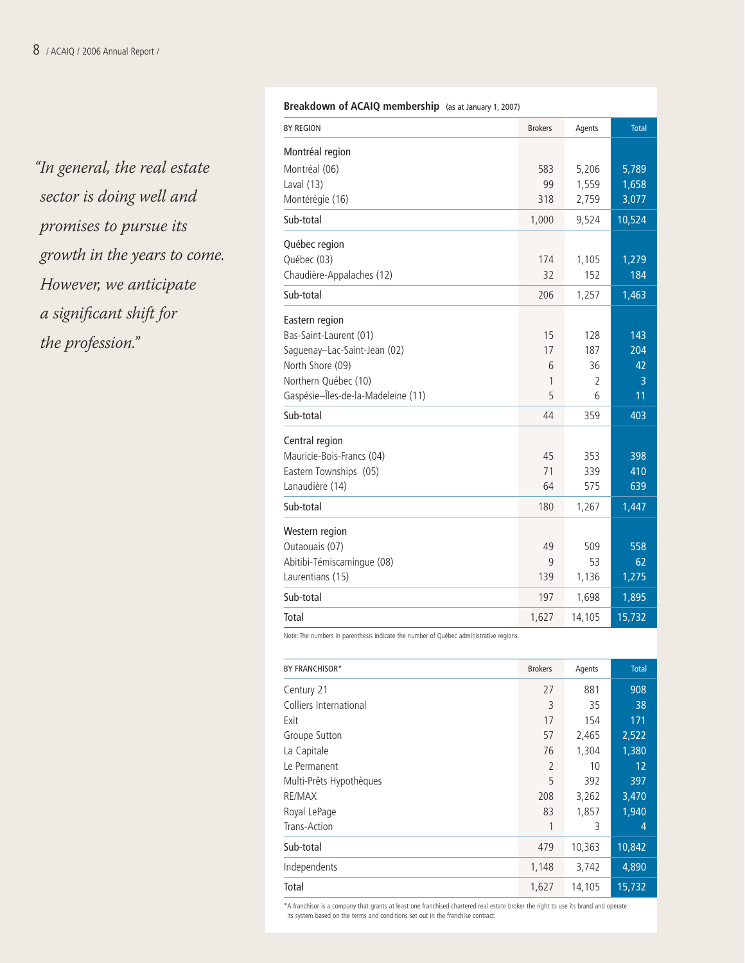"In general, the real estate sector is doing well and promises to pursue its growth in the years to come. However, we anticipate a significant shift for the profession."

#### **Breakdown of ACAIQ membership** (as at January 1, 2007)

| <b>BY REGION</b>                   | <b>Brokers</b> | Agents         | <b>Total</b>   |
|------------------------------------|----------------|----------------|----------------|
| Montréal region                    |                |                |                |
| Montréal (06)                      | 583            | 5,206          | 5,789          |
| Laval (13)                         | 99             | 1,559          | 1,658          |
| Montérégie (16)                    | 318            | 2,759          | 3,077          |
| Sub-total                          | 1,000          | 9,524          | 10,524         |
| Québec region                      |                |                |                |
| Québec (03)                        | 174            | 1,105          | 1,279          |
| Chaudière-Appalaches (12)          | 32             | 152            | 184            |
| Sub-total                          | 206            | 1,257          | 1,463          |
| Eastern region                     |                |                |                |
| Bas-Saint-Laurent (01)             | 15             | 128            | 143            |
| Saguenay-Lac-Saint-Jean (02)       | 17             | 187            | 204            |
| North Shore (09)                   | 6              | 36             | 42             |
| Northern Québec (10)               | 1              | $\overline{2}$ | $\overline{3}$ |
| Gaspésie-Îles-de-la-Madeleine (11) | 5              | 6              | 11             |
| Sub-total                          | 44             | 359            | 403            |
| Central region                     |                |                |                |
| Mauricie-Bois-Francs (04)          | 45             | 353            | 398            |
| Eastern Townships (05)             | 71             | 339            | 410            |
| Lanaudière (14)                    | 64             | 575            | 639            |
| Sub-total                          | 180            | 1,267          | 1,447          |
| Western region                     |                |                |                |
| Outaouais (07)                     | 49             | 509            | 558            |
| Abitibi-Témiscamingue (08)         | 9              | 53             | 62             |
| Laurentians (15)                   | 139            | 1,136          | 1,275          |
| Sub-total                          | 197            | 1,698          | 1,895          |
| Total                              | 1,627          | 14,105         | 15,732         |
|                                    |                |                |                |

Note: The numbers in parenthesis indicate the number of Québec administrative regions.

| BY FRANCHISOR*          | <b>Brokers</b> | Agents | <b>Total</b> |
|-------------------------|----------------|--------|--------------|
| Century 21              | 27             | 881    | 908          |
| Colliers International  | 3              | 35     | 38           |
| Exit                    | 17             | 154    | 171          |
| Groupe Sutton           | 57             | 2,465  | 2,522        |
| La Capitale             | 76             | 1,304  | 1,380        |
| Le Permanent            | 2              | 10     | 12           |
| Multi-Prêts Hypothèques | 5              | 392    | 397          |
| RE/MAX                  | 208            | 3,262  | 3,470        |
| Royal LePage            | 83             | 1,857  | 1,940        |
| Trans-Action            | 1              | 3      | 4            |
| Sub-total               | 479            | 10,363 | 10,842       |
| Independents            | 1,148          | 3,742  | 4,890        |
| Total                   | 1,627          | 14,105 | 15,732       |

\*A franchisor is a company that grants at least one franchised chartered real estate broker the right to use its brand and operate its system based on the terms and conditions set out in the franchise contract.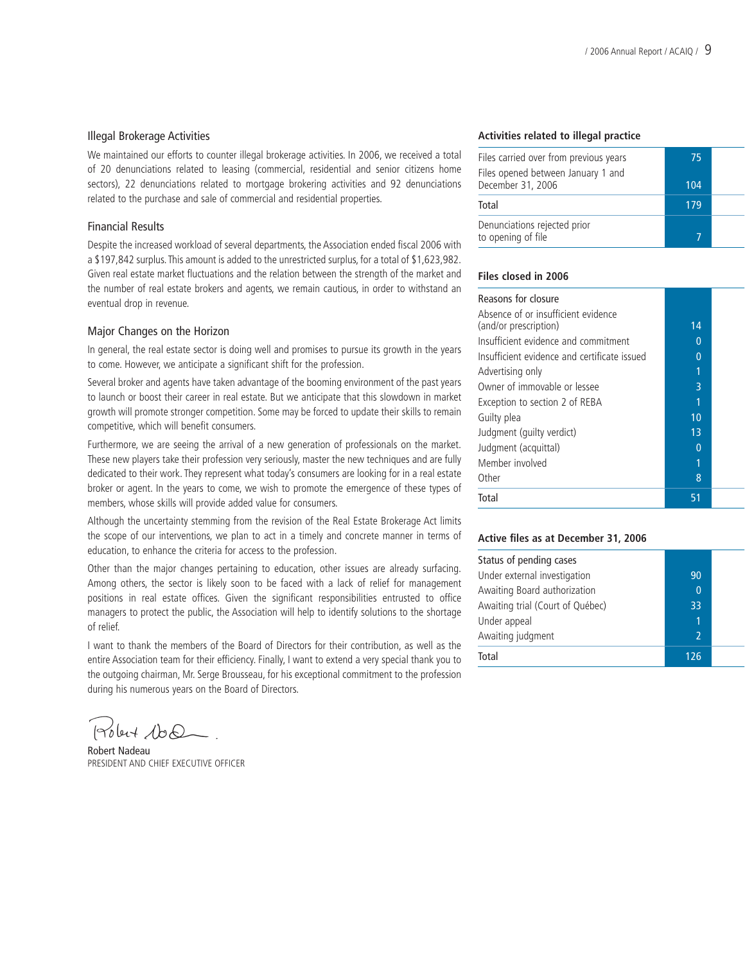#### Illegal Brokerage Activities

We maintained our efforts to counter illegal brokerage activities. In 2006, we received a total of 20 denunciations related to leasing (commercial, residential and senior citizens home sectors), 22 denunciations related to mortgage brokering activities and 92 denunciations related to the purchase and sale of commercial and residential properties.

#### Financial Results

Despite the increased workload of several departments, the Association ended fiscal 2006 with a \$197,842 surplus.This amount is added to the unrestricted surplus, for a total of \$1,623,982. Given real estate market fluctuations and the relation between the strength of the market and the number of real estate brokers and agents, we remain cautious, in order to withstand an eventual drop in revenue.

#### Major Changes on the Horizon

In general, the real estate sector is doing well and promises to pursue its growth in the years to come. However, we anticipate a significant shift for the profession.

Several broker and agents have taken advantage of the booming environment of the past years to launch or boost their career in real estate. But we anticipate that this slowdown in market growth will promote stronger competition. Some may be forced to update their skills to remain competitive, which will benefit consumers.

Furthermore, we are seeing the arrival of a new generation of professionals on the market. These new players take their profession very seriously, master the new techniques and are fully dedicated to their work. They represent what today's consumers are looking for in a real estate broker or agent. In the years to come, we wish to promote the emergence of these types of members, whose skills will provide added value for consumers.

Although the uncertainty stemming from the revision of the Real Estate Brokerage Act limits the scope of our interventions, we plan to act in a timely and concrete manner in terms of education, to enhance the criteria for access to the profession.

Other than the major changes pertaining to education, other issues are already surfacing. Among others, the sector is likely soon to be faced with a lack of relief for management positions in real estate offices. Given the significant responsibilities entrusted to office managers to protect the public, the Association will help to identify solutions to the shortage of relief.

I want to thank the members of the Board of Directors for their contribution, as well as the entire Association team for their efficiency. Finally, I want to extend a very special thank you to the outgoing chairman, Mr. Serge Brousseau, for his exceptional commitment to the profession during his numerous years on the Board of Directors.

Polent 100.

Robert Nadeau PRESIDENT AND CHIEF EXECUTIVE OFFICER

#### **Activities related to illegal practice**

| Files carried over from previous years                  | 75  |  |
|---------------------------------------------------------|-----|--|
| Files opened between January 1 and<br>December 31, 2006 | 104 |  |
| Total                                                   | 179 |  |
| Denunciations rejected prior<br>to opening of file      |     |  |

#### **Files closed in 2006**

| Reasons for closure                                          |    |  |
|--------------------------------------------------------------|----|--|
| Absence of or insufficient evidence<br>(and/or prescription) | 14 |  |
| Insufficient evidence and commitment                         | 0  |  |
| Insufficient evidence and certificate issued                 | 0  |  |
| Advertising only                                             | 1  |  |
| Owner of immovable or lessee                                 | 3  |  |
| Exception to section 2 of REBA                               | 1  |  |
| Guilty plea                                                  | 10 |  |
| Judgment (quilty verdict)                                    | 13 |  |
| Judgment (acquittal)                                         | በ  |  |
| Member involved                                              | 1  |  |
| Other                                                        | 8  |  |
| Total                                                        | 51 |  |

#### **Active files as at December 31, 2006**

| Status of pending cases          |                          |  |
|----------------------------------|--------------------------|--|
| Under external investigation     | 90                       |  |
| Awaiting Board authorization     | $\Omega$                 |  |
| Awaiting trial (Court of Québec) | 33                       |  |
| Under appeal                     | 1                        |  |
| Awaiting judgment                | $\overline{\phantom{a}}$ |  |
| Total                            | 126                      |  |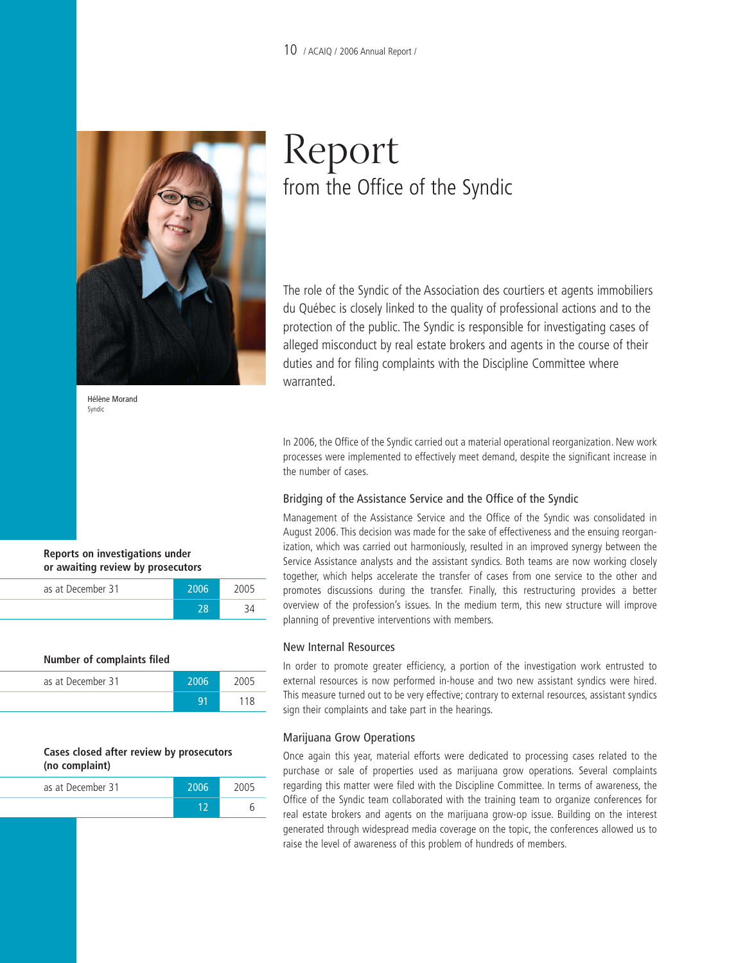#### 10 / ACAIQ / 2006 Annual Report /



Hélène Morand Syndic

## Report from the Office of the Syndic

The role of the Syndic of the Association des courtiers et agents immobiliers du Québec is closely linked to the quality of professional actions and to the protection of the public. The Syndic is responsible for investigating cases of alleged misconduct by real estate brokers and agents in the course of their duties and for filing complaints with the Discipline Committee where warranted.

In 2006, the Office of the Syndic carried out a material operational reorganization. New work processes were implemented to effectively meet demand, despite the significant increase in the number of cases.

#### Bridging of the Assistance Service and the Office of the Syndic

Management of the Assistance Service and the Office of the Syndic was consolidated in August 2006. This decision was made for the sake of effectiveness and the ensuing reorganization, which was carried out harmoniously, resulted in an improved synergy between the Service Assistance analysts and the assistant syndics. Both teams are now working closely together, which helps accelerate the transfer of cases from one service to the other and promotes discussions during the transfer. Finally, this restructuring provides a better overview of the profession's issues. In the medium term, this new structure will improve planning of preventive interventions with members.

#### New Internal Resources

In order to promote greater efficiency, a portion of the investigation work entrusted to external resources is now performed in-house and two new assistant syndics were hired. This measure turned out to be very effective; contrary to external resources, assistant syndics sign their complaints and take part in the hearings.

#### Marijuana Grow Operations

Once again this year, material efforts were dedicated to processing cases related to the purchase or sale of properties used as marijuana grow operations. Several complaints regarding this matter were filed with the Discipline Committee. In terms of awareness, the Office of the Syndic team collaborated with the training team to organize conferences for real estate brokers and agents on the marijuana grow-op issue. Building on the interest generated through widespread media coverage on the topic, the conferences allowed us to raise the level of awareness of this problem of hundreds of members.

#### **Reports on investigations under or awaiting review by prosecutors**

| as at December 31 | 2006 |  |
|-------------------|------|--|
|                   |      |  |

| Number of complaints filed |       |      |
|----------------------------|-------|------|
| as at December 31          | -2006 | 2005 |
|                            |       | 118  |

#### **Cases closed after review by prosecutors (no complaint)**

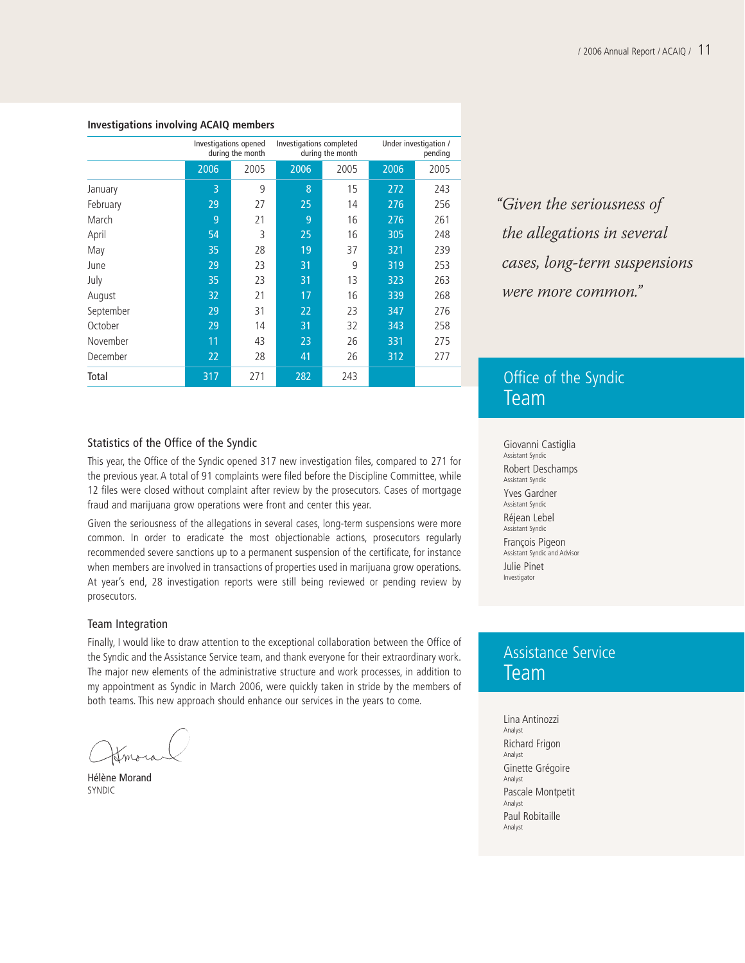#### **Investigations involving ACAIQ members**

|           | Investigations opened<br>during the month |     | Investigations completed<br>during the month |      |      | Under investigation /<br>pending |
|-----------|-------------------------------------------|-----|----------------------------------------------|------|------|----------------------------------|
|           | 2006                                      |     | 2006                                         | 2005 | 2006 | 2005                             |
| January   | 3                                         | 9   | 8                                            | 15   | 272  | 243                              |
| February  | 29                                        | 27  | 25                                           | 14   | 276  | 256                              |
| March     | 9                                         | 21  | 9                                            | 16   | 276  | 261                              |
| April     | 54                                        | 3   | 25                                           | 16   | 305  | 248                              |
| May       | 35                                        | 28  | 19                                           | 37   | 321  | 239                              |
| June      | 29                                        | 23  | 31                                           | 9    | 319  | 253                              |
| July      | 35                                        | 23  | 31                                           | 13   | 323  | 263                              |
| August    | 32                                        | 21  | 17                                           | 16   | 339  | 268                              |
| September | 29                                        | 31  | 22                                           | 23   | 347  | 276                              |
| October   | 29                                        | 14  | 31                                           | 32   | 343  | 258                              |
| November  | 11                                        | 43  | 23                                           | 26   | 331  | 275                              |
| December  | 22                                        | 28  | 41                                           | 26   | 312  | 277                              |
| Total     | 317                                       | 271 | 282                                          | 243  |      |                                  |

"Given the seriousness of the allegations in several cases, long-term suspensions were more common."

### Office of the Syndic Team

Giovanni Castiglia Assistant Syndic Robert Deschamps Assistant Syndic Yves Gardner Assistant Syndic Réjean Lebel Assistant Syndic François Pigeon Assistant Syndic and Advisor Julie Pinet Investigator

### Assistance Service Team

Lina Antinozzi Analyst Richard Frigon Analyst Ginette Grégoire Analyst Pascale Montpetit Analyst Paul Robitaille Analyst

#### Statistics of the Office of the Syndic

This year, the Office of the Syndic opened 317 new investigation files, compared to 271 for the previous year. A total of 91 complaints were filed before the Discipline Committee, while 12 files were closed without complaint after review by the prosecutors. Cases of mortgage fraud and marijuana grow operations were front and center this year.

Given the seriousness of the allegations in several cases, long-term suspensions were more common. In order to eradicate the most objectionable actions, prosecutors regularly recommended severe sanctions up to a permanent suspension of the certificate, for instance when members are involved in transactions of properties used in marijuana grow operations. At year's end, 28 investigation reports were still being reviewed or pending review by prosecutors.

#### Team Integration

Finally, I would like to draw attention to the exceptional collaboration between the Office of the Syndic and the Assistance Service team, and thank everyone for their extraordinary work. The major new elements of the administrative structure and work processes, in addition to my appointment as Syndic in March 2006, were quickly taken in stride by the members of both teams. This new approach should enhance our services in the years to come.

Imora

Hélène Morand SYNDIC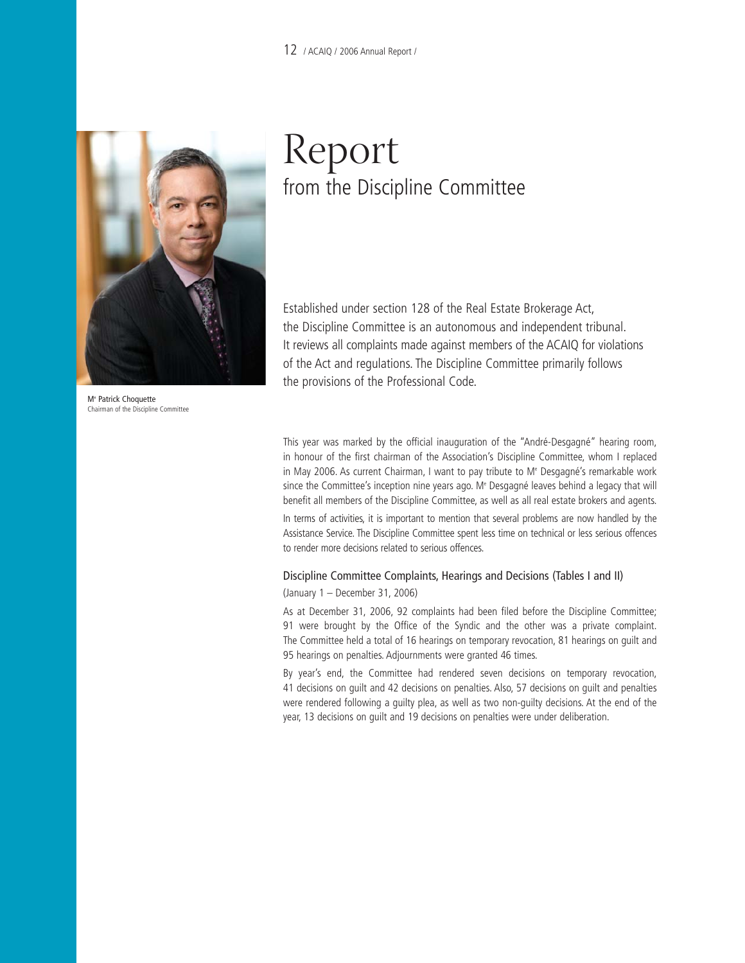

Me Patrick Choquette Chairman of the Discipline Committee

## Report from the Discipline Committee

Established under section 128 of the Real Estate Brokerage Act, the Discipline Committee is an autonomous and independent tribunal. It reviews all complaints made against members of the ACAIQ for violations of the Act and regulations. The Discipline Committee primarily follows the provisions of the Professional Code.

This year was marked by the official inauguration of the "André-Desgagné" hearing room, in honour of the first chairman of the Association's Discipline Committee, whom I replaced in May 2006. As current Chairman, I want to pay tribute to M<sup>e</sup> Desgagné's remarkable work since the Committee's inception nine years ago. Me Desgagné leaves behind a legacy that will benefit all members of the Discipline Committee, as well as all real estate brokers and agents.

In terms of activities, it is important to mention that several problems are now handled by the Assistance Service. The Discipline Committee spent less time on technical or less serious offences to render more decisions related to serious offences.

## Discipline Committee Complaints, Hearings and Decisions (Tables I and II)

(January 1 – December 31, 2006)

As at December 31, 2006, 92 complaints had been filed before the Discipline Committee; 91 were brought by the Office of the Syndic and the other was a private complaint. The Committee held a total of 16 hearings on temporary revocation, 81 hearings on guilt and 95 hearings on penalties. Adjournments were granted 46 times.

By year's end, the Committee had rendered seven decisions on temporary revocation, 41 decisions on guilt and 42 decisions on penalties. Also, 57 decisions on guilt and penalties were rendered following a guilty plea, as well as two non-guilty decisions. At the end of the year, 13 decisions on guilt and 19 decisions on penalties were under deliberation.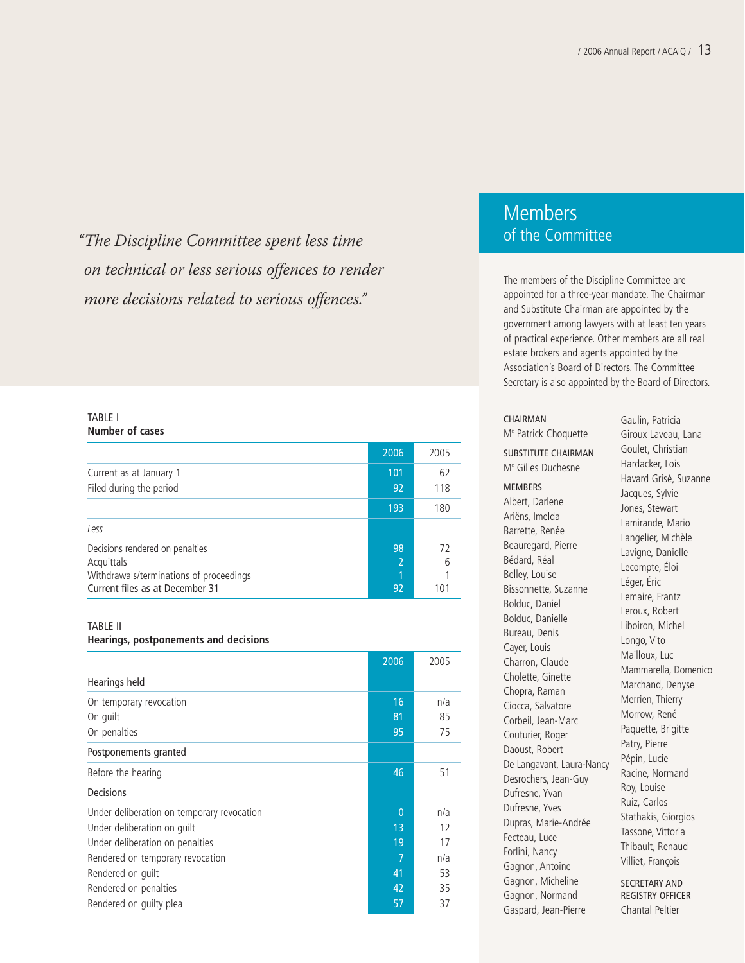"The Discipline Committee spent less time on technical or less serious offences to render more decisions related to serious offences."

#### TABLE I **Number of cases**

|                                         | 2006 | 2005 |
|-----------------------------------------|------|------|
| Current as at January 1                 | 101  | 62   |
| Filed during the period                 | 92   | 118  |
|                                         | 193  | 180  |
| Less                                    |      |      |
| Decisions rendered on penalties         | 98   | 72   |
| Acquittals                              | 2    | 6    |
| Withdrawals/terminations of proceedings | 1    |      |
| Current files as at December 31         | 92   | 101  |

#### TABLE II

#### **Hearings, postponements and decisions**

|                                            | 2006           | 2005 |
|--------------------------------------------|----------------|------|
| Hearings held                              |                |      |
| On temporary revocation                    | 16             | n/a  |
| On guilt                                   | 81             | 85   |
| On penalties                               | 95             | 75   |
| Postponements granted                      |                |      |
| Before the hearing                         | 46             | 51   |
| <b>Decisions</b>                           |                |      |
| Under deliberation on temporary revocation | $\overline{0}$ | n/a  |
| Under deliberation on guilt                | 1 <sub>3</sub> | 12   |
| Under deliberation on penalties            | 19             | 17   |
| Rendered on temporary revocation           | 7              | n/a  |
| Rendered on quilt                          | 41             | 53   |
| Rendered on penalties                      | 42             | 35   |
| Rendered on quilty plea                    | 57             | 37   |

### Members of the Committee

The members of the Discipline Committee are appointed for a three-year mandate. The Chairman and Substitute Chairman are appointed by the government among lawyers with at least ten years of practical experience. Other members are all real estate brokers and agents appointed by the Association's Board of Directors. The Committee Secretary is also appointed by the Board of Directors.

#### CHAIRMAN

Me Patrick Choquette SUBSTITUTE CHAIRMAN Me Gilles Duchesne MEMBERS Albert, Darlene Ariëns, Imelda Barrette, Renée Beauregard, Pierre Bédard, Réal Belley, Louise Bissonnette, Suzanne Bolduc, Daniel Bolduc, Danielle Bureau, Denis Cayer, Louis Charron, Claude Cholette, Ginette Chopra, Raman Ciocca, Salvatore Corbeil, Jean-Marc Couturier, Roger Daoust, Robert De Langavant, Laura-Nancy Desrochers, Jean-Guy Dufresne, Yvan Dufresne, Yves Dupras, Marie-Andrée Fecteau, Luce Forlini, Nancy Gagnon, Antoine Gagnon, Micheline Gagnon, Normand Gaspard, Jean-Pierre

Gaulin, Patricia Giroux Laveau, Lana Goulet, Christian Hardacker, Lois Havard Grisé, Suzanne Jacques, Sylvie Jones, Stewart Lamirande, Mario Langelier, Michèle Lavigne, Danielle Lecompte, Éloi Léger, Éric Lemaire, Frantz Leroux, Robert Liboiron, Michel Longo, Vito Mailloux, Luc Mammarella, Domenico Marchand, Denyse Merrien, Thierry Morrow, René Paquette, Brigitte Patry, Pierre Pépin, Lucie Racine, Normand Roy, Louise Ruiz, Carlos Stathakis, Giorgios Tassone, Vittoria Thibault, Renaud Villiet, François SECRETARY AND

REGISTRY OFFICER Chantal Peltier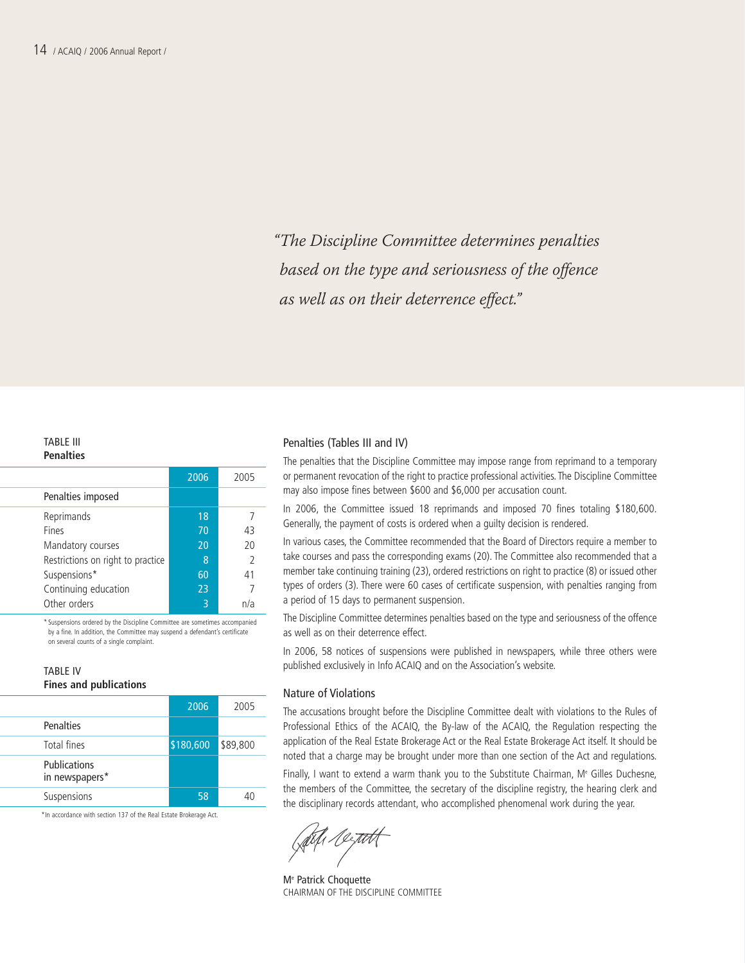"The Discipline Committee determines penalties based on the type and seriousness of the offence as well as on their deterrence effect."

#### TABLE III **Penalties**

|                                   | 2006 | 2005           |
|-----------------------------------|------|----------------|
| Penalties imposed                 |      |                |
| Reprimands                        | 18   |                |
| Fines                             | 70   | 43             |
| Mandatory courses                 | 20   | 20             |
| Restrictions on right to practice | 8    | $\overline{2}$ |
| Suspensions*                      | 60   | 41             |
| Continuing education              | 23   |                |
| Other orders                      | 3    | n/a            |

\* Suspensions ordered by the Discipline Committee are sometimes accompanied by a fine. In addition, the Committee may suspend a defendant's certificate on several counts of a single complaint.

#### TABLE IV **Fines and publications**

|                                       | 2006      | 2005     |
|---------------------------------------|-----------|----------|
| Penalties                             |           |          |
| Total fines                           | \$180,600 | \$89,800 |
| <b>Publications</b><br>in newspapers* |           |          |
| Suspensions                           | 58        | 40       |

\*In accordance with section 137 of the Real Estate Brokerage Act.

#### Penalties (Tables III and IV)

The penalties that the Discipline Committee may impose range from reprimand to a temporary or permanent revocation of the right to practice professional activities. The Discipline Committee may also impose fines between \$600 and \$6,000 per accusation count.

In 2006, the Committee issued 18 reprimands and imposed 70 fines totaling \$180,600. Generally, the payment of costs is ordered when a guilty decision is rendered.

In various cases, the Committee recommended that the Board of Directors require a member to take courses and pass the corresponding exams (20). The Committee also recommended that a member take continuing training (23), ordered restrictions on right to practice (8) or issued other types of orders (3). There were 60 cases of certificate suspension, with penalties ranging from a period of 15 days to permanent suspension.

The Discipline Committee determines penalties based on the type and seriousness of the offence as well as on their deterrence effect.

In 2006, 58 notices of suspensions were published in newspapers, while three others were published exclusively in Info ACAIQ and on the Association's website.

#### Nature of Violations

The accusations brought before the Discipline Committee dealt with violations to the Rules of Professional Ethics of the ACAIQ, the By-law of the ACAIQ, the Regulation respecting the application of the Real Estate Brokerage Act or the Real Estate Brokerage Act itself. It should be noted that a charge may be brought under more than one section of the Act and regulations.

Finally, I want to extend a warm thank you to the Substitute Chairman, M<sup>e</sup> Gilles Duchesne, the members of the Committee, the secretary of the discipline registry, the hearing clerk and the disciplinary records attendant, who accomplished phenomenal work during the year.

Løt fr*i 10. <del>rut</del>t* 

Me Patrick Choquette CHAIRMAN OF THE DISCIPLINE COMMITTEE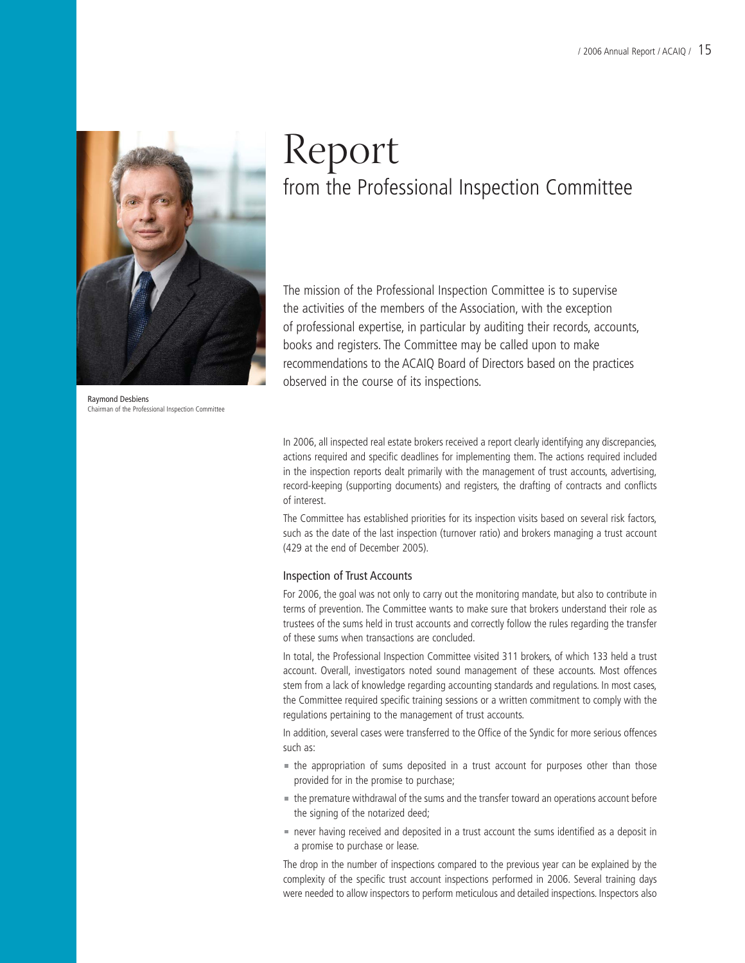

Raymond Desbiens Chairman of the Professional Inspection Committee

## Report from the Professional Inspection Committee

The mission of the Professional Inspection Committee is to supervise the activities of the members of the Association, with the exception of professional expertise, in particular by auditing their records, accounts, books and registers. The Committee may be called upon to make recommendations to the ACAIQ Board of Directors based on the practices observed in the course of its inspections.

In 2006, all inspected real estate brokers received a report clearly identifying any discrepancies, actions required and specific deadlines for implementing them. The actions required included in the inspection reports dealt primarily with the management of trust accounts, advertising, record-keeping (supporting documents) and registers, the drafting of contracts and conflicts of interest.

The Committee has established priorities for its inspection visits based on several risk factors, such as the date of the last inspection (turnover ratio) and brokers managing a trust account (429 at the end of December 2005).

#### Inspection of Trust Accounts

For 2006, the goal was not only to carry out the monitoring mandate, but also to contribute in terms of prevention. The Committee wants to make sure that brokers understand their role as trustees of the sums held in trust accounts and correctly follow the rules regarding the transfer of these sums when transactions are concluded.

In total, the Professional Inspection Committee visited 311 brokers, of which 133 held a trust account. Overall, investigators noted sound management of these accounts. Most offences stem from a lack of knowledge regarding accounting standards and regulations. In most cases, the Committee required specific training sessions or a written commitment to comply with the regulations pertaining to the management of trust accounts.

In addition, several cases were transferred to the Office of the Syndic for more serious offences such as:

- $\blacksquare$  the appropriation of sums deposited in a trust account for purposes other than those provided for in the promise to purchase;
- the premature withdrawal of the sums and the transfer toward an operations account before the signing of the notarized deed;
- never having received and deposited in a trust account the sums identified as a deposit in a promise to purchase or lease.

The drop in the number of inspections compared to the previous year can be explained by the complexity of the specific trust account inspections performed in 2006. Several training days were needed to allow inspectors to perform meticulous and detailed inspections. Inspectors also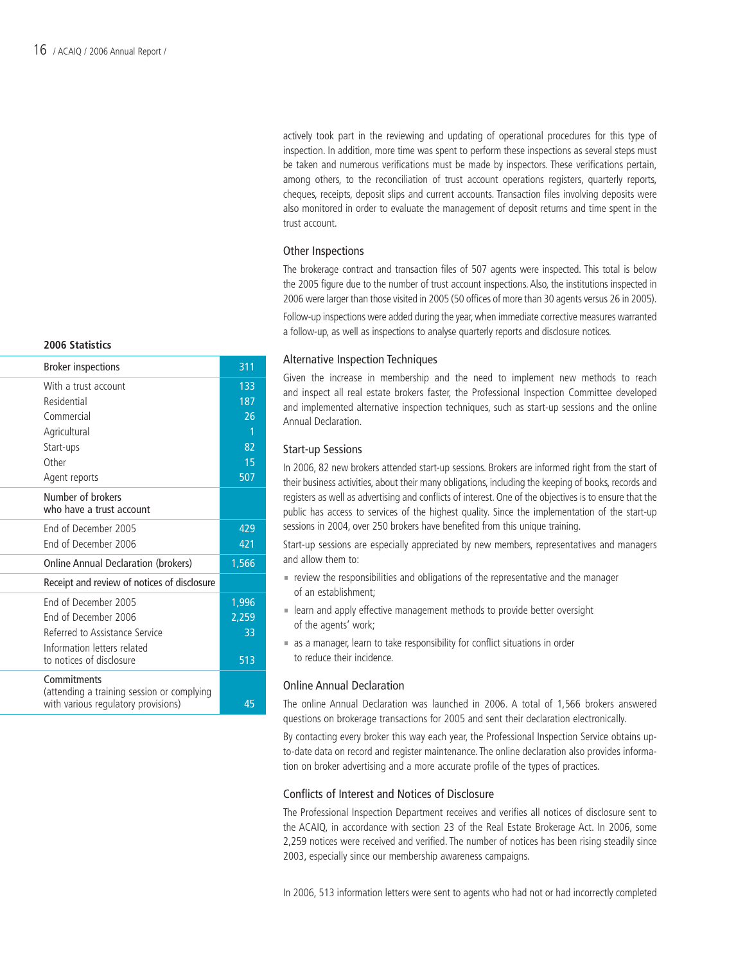#### **2006 Statistics**

| <b>Broker inspections</b>                                                                                                                 | 311                               |
|-------------------------------------------------------------------------------------------------------------------------------------------|-----------------------------------|
| With a trust account<br>Residential<br>Commercial<br>Agricultural<br>Start-ups<br>Other                                                   | 133<br>187<br>26<br>1<br>82<br>15 |
| Agent reports<br>Number of brokers<br>who have a trust account                                                                            | 507                               |
| End of December 2005<br>End of December 2006                                                                                              | 429<br>421                        |
| <b>Online Annual Declaration (brokers)</b>                                                                                                | 1,566                             |
| Receipt and review of notices of disclosure                                                                                               |                                   |
| End of December 2005<br>End of December 2006<br>Referred to Assistance Service<br>Information letters related<br>to notices of disclosure | 1,996<br>2,259<br>33<br>513       |
| Commitments<br>(attending a training session or complying<br>with various regulatory provisions)                                          | 45                                |

actively took part in the reviewing and updating of operational procedures for this type of inspection. In addition, more time was spent to perform these inspections as several steps must be taken and numerous verifications must be made by inspectors. These verifications pertain, among others, to the reconciliation of trust account operations registers, quarterly reports, cheques, receipts, deposit slips and current accounts. Transaction files involving deposits were also monitored in order to evaluate the management of deposit returns and time spent in the trust account.

#### Other Inspections

The brokerage contract and transaction files of 507 agents were inspected. This total is below the 2005 figure due to the number of trust account inspections. Also, the institutions inspected in 2006 were larger than those visited in 2005 (50 offices of more than 30 agents versus 26 in 2005).

Follow-up inspections were added during the year, when immediate corrective measures warranted a follow-up, as well as inspections to analyse quarterly reports and disclosure notices.

#### Alternative Inspection Techniques

Given the increase in membership and the need to implement new methods to reach and inspect all real estate brokers faster, the Professional Inspection Committee developed and implemented alternative inspection techniques, such as start-up sessions and the online Annual Declaration.

#### Start-up Sessions

In 2006, 82 new brokers attended start-up sessions. Brokers are informed right from the start of their business activities, about their many obligations, including the keeping of books, records and registers as well as advertising and conflicts of interest. One of the objectives is to ensure that the public has access to services of the highest quality. Since the implementation of the start-up sessions in 2004, over 250 brokers have benefited from this unique training.

Start-up sessions are especially appreciated by new members, representatives and managers and allow them to:

- $\blacksquare$  review the responsibilities and obligations of the representative and the manager of an establishment;
- learn and apply effective management methods to provide better oversight of the agents' work;
- as a manager, learn to take responsibility for conflict situations in order to reduce their incidence.

#### Online Annual Declaration

The online Annual Declaration was launched in 2006. A total of 1,566 brokers answered questions on brokerage transactions for 2005 and sent their declaration electronically.

By contacting every broker this way each year, the Professional Inspection Service obtains upto-date data on record and register maintenance. The online declaration also provides information on broker advertising and a more accurate profile of the types of practices.

#### Conflicts of Interest and Notices of Disclosure

The Professional Inspection Department receives and verifies all notices of disclosure sent to the ACAIQ, in accordance with section 23 of the Real Estate Brokerage Act. In 2006, some 2,259 notices were received and verified. The number of notices has been rising steadily since 2003, especially since our membership awareness campaigns.

In 2006, 513 information letters were sent to agents who had not or had incorrectly completed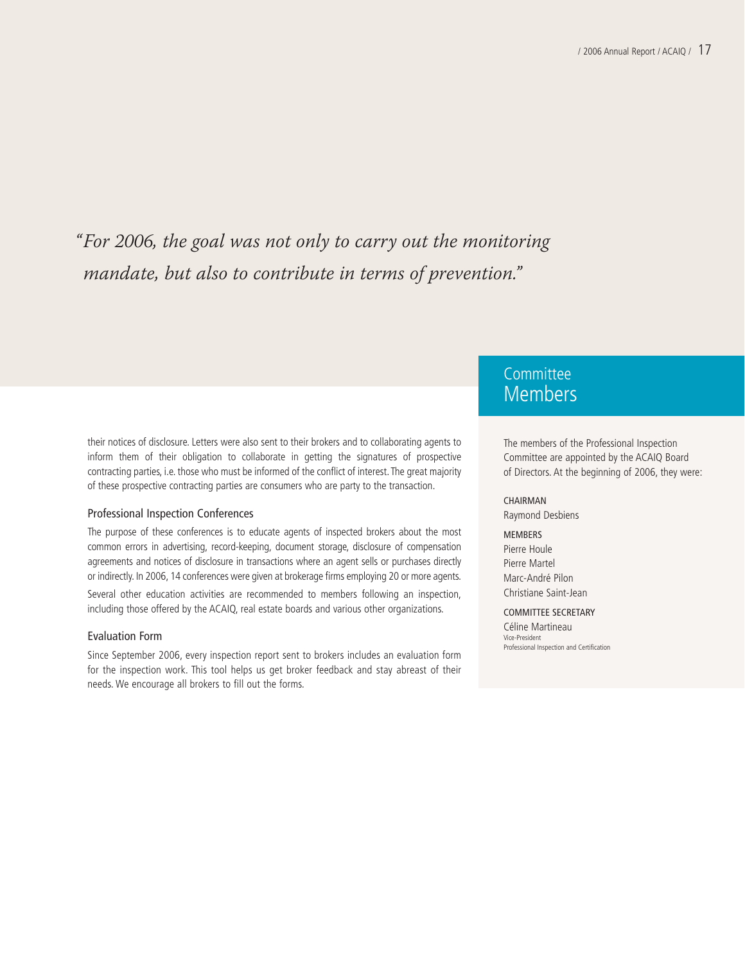"For 2006, the goal was not only to carry out the monitoring mandate, but also to contribute in terms of prevention."

their notices of disclosure. Letters were also sent to their brokers and to collaborating agents to inform them of their obligation to collaborate in getting the signatures of prospective contracting parties, i.e. those who must be informed of the conflict of interest.The great majority of these prospective contracting parties are consumers who are party to the transaction.

#### Professional Inspection Conferences

The purpose of these conferences is to educate agents of inspected brokers about the most common errors in advertising, record-keeping, document storage, disclosure of compensation agreements and notices of disclosure in transactions where an agent sells or purchases directly or indirectly. In 2006, 14 conferences were given at brokerage firms employing 20 or more agents.

Several other education activities are recommended to members following an inspection, including those offered by the ACAIQ, real estate boards and various other organizations.

#### Evaluation Form

Since September 2006, every inspection report sent to brokers includes an evaluation form for the inspection work. This tool helps us get broker feedback and stay abreast of their needs. We encourage all brokers to fill out the forms.

### **Committee** Members

The members of the Professional Inspection Committee are appointed by the ACAIQ Board of Directors. At the beginning of 2006, they were:

#### CHAIRMAN

Raymond Desbiens

#### **MEMBERS**

Pierre Houle Pierre Martel Marc-André Pilon Christiane Saint-Jean

#### COMMITTEE SECRETARY

Céline Martineau Vice-President Professional Inspection and Certification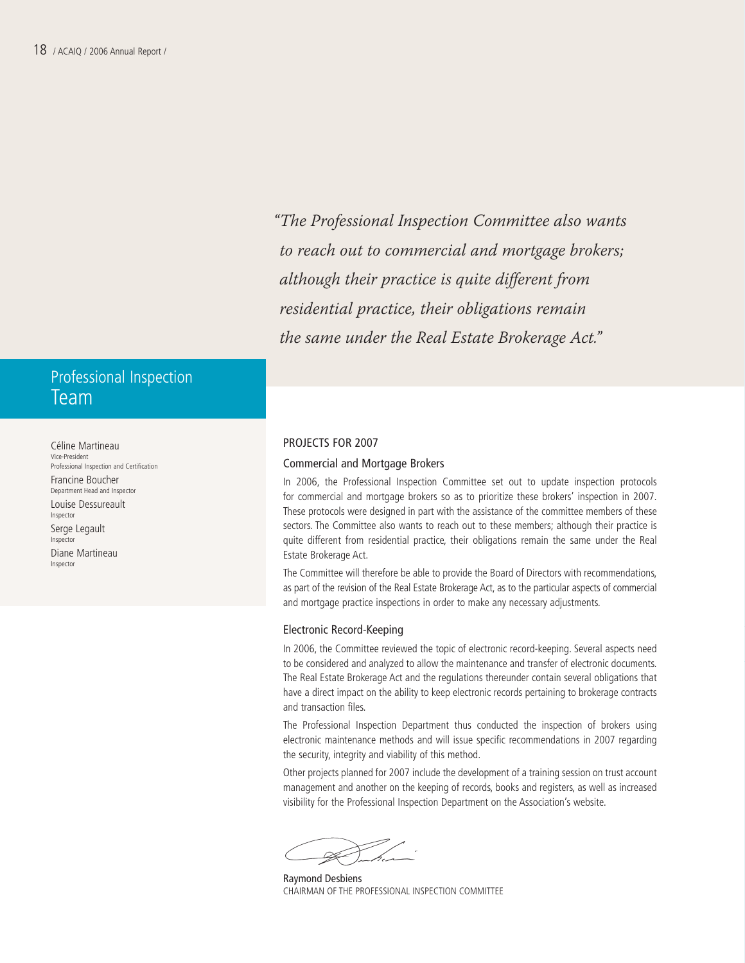"The Professional Inspection Committee also wants to reach out to commercial and mortgage brokers; although their practice is quite different from residential practice, their obligations remain the same under the Real Estate Brokerage Act."

## Professional Inspection Team

Céline Martineau Vice-President Professional Inspection and Certification Francine Boucher Department Head and Inspector Louise Dessureault Inspector Serge Legault Inspector Diane Martineau Inspector

#### PROJECTS FOR 2007

#### Commercial and Mortgage Brokers

In 2006, the Professional Inspection Committee set out to update inspection protocols for commercial and mortgage brokers so as to prioritize these brokers' inspection in 2007. These protocols were designed in part with the assistance of the committee members of these sectors. The Committee also wants to reach out to these members; although their practice is quite different from residential practice, their obligations remain the same under the Real Estate Brokerage Act.

The Committee will therefore be able to provide the Board of Directors with recommendations, as part of the revision of the Real Estate Brokerage Act, as to the particular aspects of commercial and mortgage practice inspections in order to make any necessary adjustments.

#### Electronic Record-Keeping

In 2006, the Committee reviewed the topic of electronic record-keeping. Several aspects need to be considered and analyzed to allow the maintenance and transfer of electronic documents. The Real Estate Brokerage Act and the regulations thereunder contain several obligations that have a direct impact on the ability to keep electronic records pertaining to brokerage contracts and transaction files.

The Professional Inspection Department thus conducted the inspection of brokers using electronic maintenance methods and will issue specific recommendations in 2007 regarding the security, integrity and viability of this method.

Other projects planned for 2007 include the development of a training session on trust account management and another on the keeping of records, books and registers, as well as increased visibility for the Professional Inspection Department on the Association's website.

Raymond Desbiens CHAIRMAN OF THE PROFESSIONAL INSPECTION COMMITTEE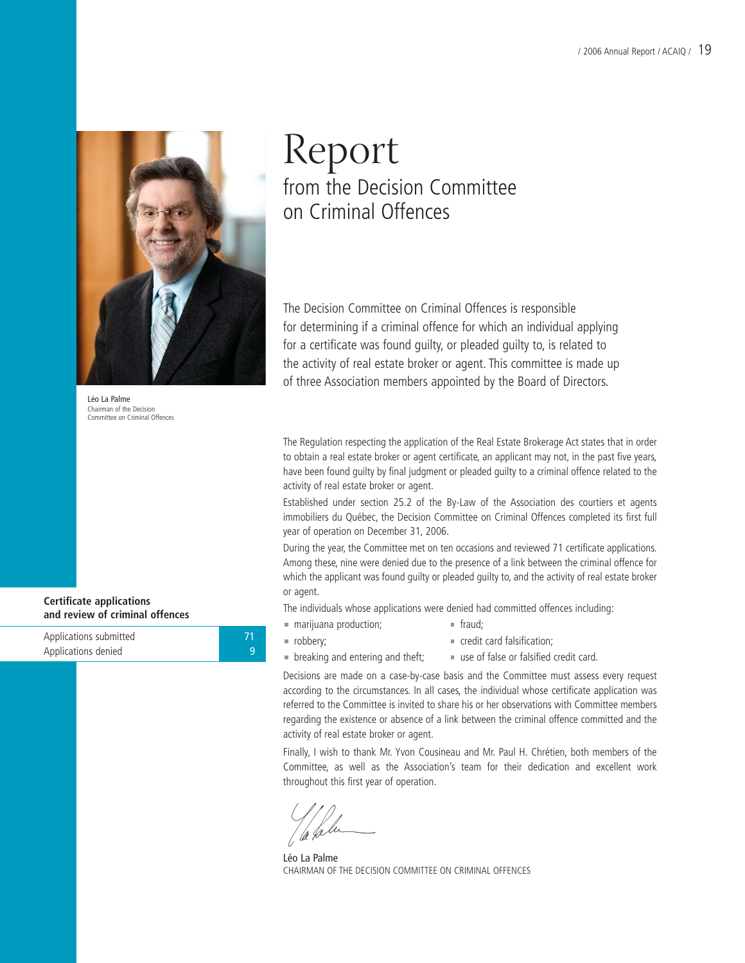

Léo La Palme Chairman of the Decision Committee on Criminal Offences

**Certificate applications and review of criminal offences**

Applications submitted **71 71** Applications denied 9

## Report from the Decision Committee on Criminal Offences

The Decision Committee on Criminal Offences is responsible for determining if a criminal offence for which an individual applying for a certificate was found guilty, or pleaded guilty to, is related to the activity of real estate broker or agent. This committee is made up of three Association members appointed by the Board of Directors.

The Regulation respecting the application of the Real Estate Brokerage Act states that in order to obtain a real estate broker or agent certificate, an applicant may not, in the past five years, have been found guilty by final judgment or pleaded guilty to a criminal offence related to the activity of real estate broker or agent.

Established under section 25.2 of the By-Law of the Association des courtiers et agents immobiliers du Québec, the Decision Committee on Criminal Offences completed its first full year of operation on December 31, 2006.

During the year, the Committee met on ten occasions and reviewed 71 certificate applications. Among these, nine were denied due to the presence of a link between the criminal offence for which the applicant was found guilty or pleaded guilty to, and the activity of real estate broker or agent.

The individuals whose applications were denied had committed offences including:

- marijuana production; fraud;
- robbery; credit card falsification;
- 
- 
- $\blacksquare$  breaking and entering and theft;  $\blacksquare$  use of false or falsified credit card.
	-

Decisions are made on a case-by-case basis and the Committee must assess every request according to the circumstances. In all cases, the individual whose certificate application was referred to the Committee is invited to share his or her observations with Committee members regarding the existence or absence of a link between the criminal offence committed and the activity of real estate broker or agent.

Finally, I wish to thank Mr. Yvon Cousineau and Mr. Paul H. Chrétien, both members of the Committee, as well as the Association's team for their dedication and excellent work throughout this first year of operation.

Léo La Palme CHAIRMAN OF THE DECISION COMMITTEE ON CRIMINAL OFFENCES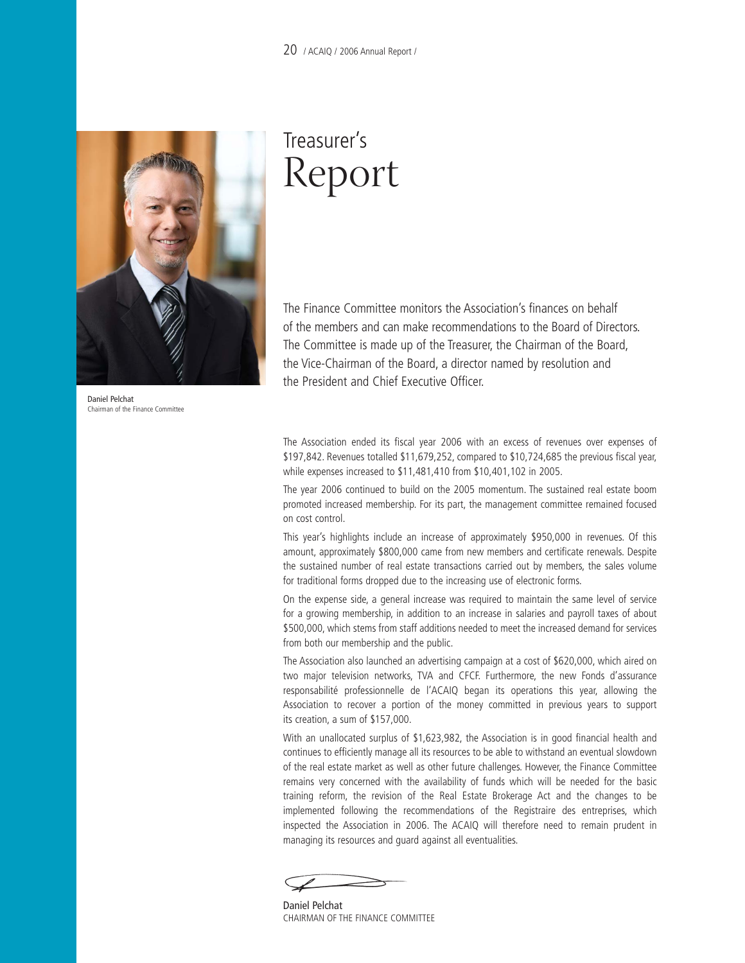

Daniel Pelchat Chairman of the Finance Committee

## Treasurer's Report

The Finance Committee monitors the Association's finances on behalf of the members and can make recommendations to the Board of Directors. The Committee is made up of the Treasurer, the Chairman of the Board, the Vice-Chairman of the Board, a director named by resolution and the President and Chief Executive Officer.

The Association ended its fiscal year 2006 with an excess of revenues over expenses of \$197,842. Revenues totalled \$11,679,252, compared to \$10,724,685 the previous fiscal year, while expenses increased to \$11,481,410 from \$10,401,102 in 2005.

The year 2006 continued to build on the 2005 momentum. The sustained real estate boom promoted increased membership. For its part, the management committee remained focused on cost control.

This year's highlights include an increase of approximately \$950,000 in revenues. Of this amount, approximately \$800,000 came from new members and certificate renewals. Despite the sustained number of real estate transactions carried out by members, the sales volume for traditional forms dropped due to the increasing use of electronic forms.

On the expense side, a general increase was required to maintain the same level of service for a growing membership, in addition to an increase in salaries and payroll taxes of about \$500,000, which stems from staff additions needed to meet the increased demand for services from both our membership and the public.

The Association also launched an advertising campaign at a cost of \$620,000, which aired on two major television networks, TVA and CFCF. Furthermore, the new Fonds d'assurance responsabilité professionnelle de l'ACAIQ began its operations this year, allowing the Association to recover a portion of the money committed in previous years to support its creation, a sum of \$157,000.

With an unallocated surplus of \$1,623,982, the Association is in good financial health and continues to efficiently manage all its resources to be able to withstand an eventual slowdown of the real estate market as well as other future challenges. However, the Finance Committee remains very concerned with the availability of funds which will be needed for the basic training reform, the revision of the Real Estate Brokerage Act and the changes to be implemented following the recommendations of the Registraire des entreprises, which inspected the Association in 2006. The ACAIQ will therefore need to remain prudent in managing its resources and guard against all eventualities.

Daniel Pelchat CHAIRMAN OF THE FINANCE COMMITTEE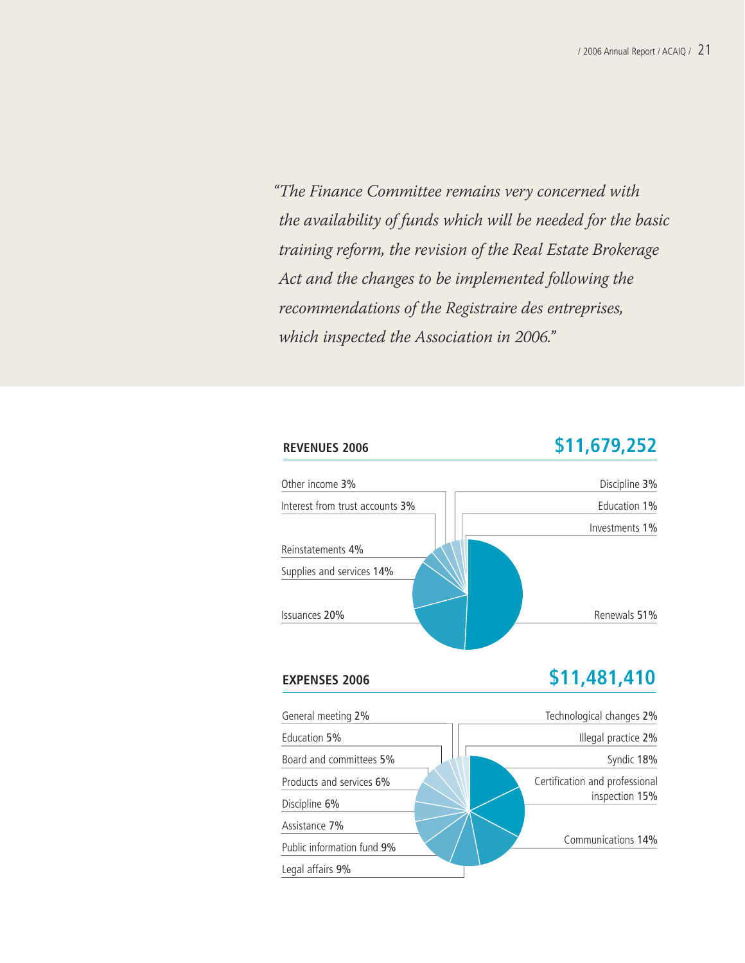"The Finance Committee remains very concerned with the availability of funds which will be needed for the basic training reform, the revision of the Real Estate Brokerage Act and the changes to be implemented following the recommendations of the Registraire des entreprises, which inspected the Association in 2006."

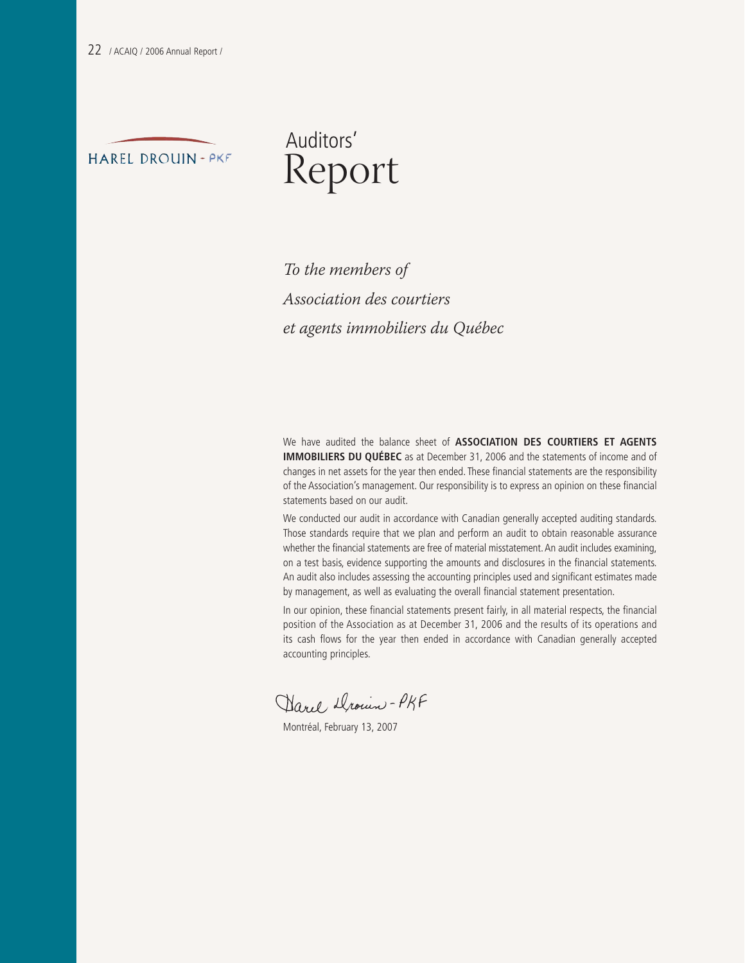

## Auditors' Report

To the members of Association des courtiers et agents immobiliers du Québec

We have audited the balance sheet of **ASSOCIATION DES COURTIERS ET AGENTS IMMOBILIERS DU QUÉBEC** as at December 31, 2006 and the statements of income and of changes in net assets for the year then ended. These financial statements are the responsibility of the Association's management. Our responsibility is to express an opinion on these financial statements based on our audit.

We conducted our audit in accordance with Canadian generally accepted auditing standards. Those standards require that we plan and perform an audit to obtain reasonable assurance whether the financial statements are free of material misstatement. An audit includes examining, on a test basis, evidence supporting the amounts and disclosures in the financial statements. An audit also includes assessing the accounting principles used and significant estimates made by management, as well as evaluating the overall financial statement presentation.

In our opinion, these financial statements present fairly, in all material respects, the financial position of the Association as at December 31, 2006 and the results of its operations and its cash flows for the year then ended in accordance with Canadian generally accepted accounting principles.

Darel Drown - PKF

Montréal, February 13, 2007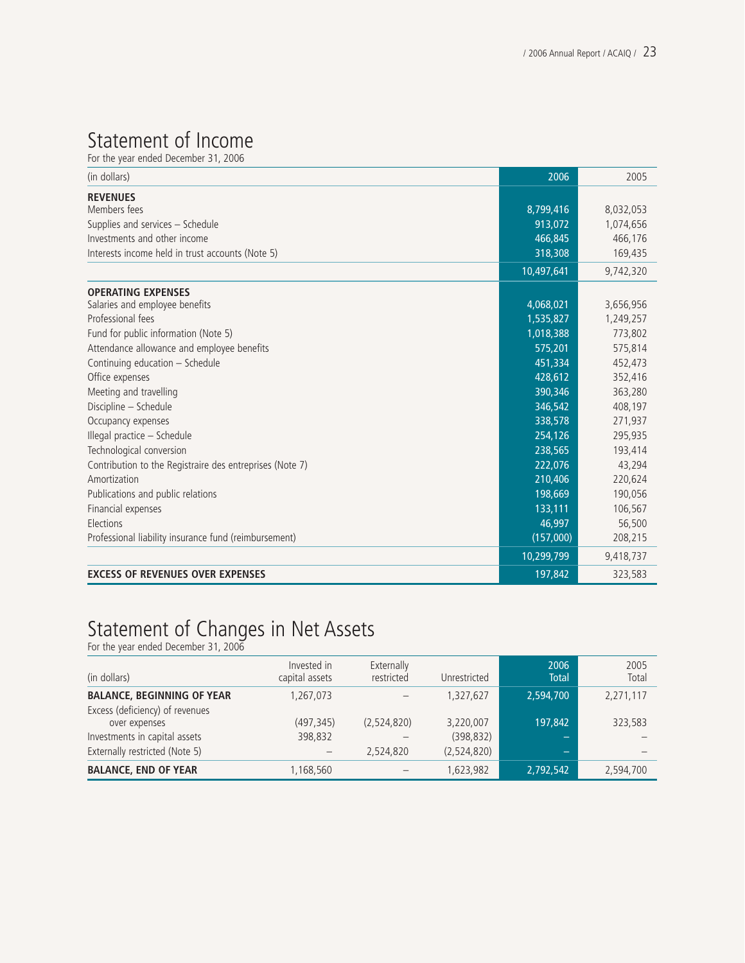## Statement of Income

For the year ended December 31, 2006

| (in dollars)                                             | 2006       | 2005      |
|----------------------------------------------------------|------------|-----------|
| <b>REVENUES</b><br>Members fees                          | 8,799,416  | 8,032,053 |
| Supplies and services - Schedule                         | 913,072    | 1,074,656 |
| Investments and other income                             | 466,845    | 466,176   |
| Interests income held in trust accounts (Note 5)         | 318,308    | 169,435   |
|                                                          |            |           |
|                                                          | 10,497,641 | 9,742,320 |
| <b>OPERATING EXPENSES</b>                                |            |           |
| Salaries and employee benefits                           | 4,068,021  | 3,656,956 |
| Professional fees                                        | 1,535,827  | 1,249,257 |
| Fund for public information (Note 5)                     | 1,018,388  | 773,802   |
| Attendance allowance and employee benefits               | 575,201    | 575,814   |
| Continuing education - Schedule                          | 451,334    | 452,473   |
| Office expenses                                          | 428,612    | 352,416   |
| Meeting and travelling                                   | 390,346    | 363,280   |
| Discipline - Schedule                                    | 346,542    | 408,197   |
| Occupancy expenses                                       | 338,578    | 271,937   |
| Illegal practice - Schedule                              | 254.126    | 295,935   |
| Technological conversion                                 | 238,565    | 193,414   |
| Contribution to the Registraire des entreprises (Note 7) | 222,076    | 43,294    |
| Amortization                                             | 210,406    | 220,624   |
| Publications and public relations                        | 198,669    | 190,056   |
| Financial expenses                                       | 133,111    | 106,567   |
| Elections                                                | 46,997     | 56,500    |
| Professional liability insurance fund (reimbursement)    | (157,000)  | 208,215   |
|                                                          | 10,299,799 | 9,418,737 |
| <b>EXCESS OF REVENUES OVER EXPENSES</b>                  | 197,842    | 323,583   |

## Statement of Changes in Net Assets

For the year ended December 31, 2006

| (in dollars)                                                    | Invested in<br>capital assets | Externally<br>restricted | Unrestricted              | 2006<br><b>Total</b> | 2005<br>Total |
|-----------------------------------------------------------------|-------------------------------|--------------------------|---------------------------|----------------------|---------------|
| <b>BALANCE, BEGINNING OF YEAR</b>                               | 1,267,073                     |                          | 1.327.627                 | 2,594,700            | 2,271,117     |
| Excess (deficiency) of revenues<br>over expenses                | (497, 345)                    | (2,524,820)              | 3,220,007                 | 197.842              | 323,583       |
| Investments in capital assets<br>Externally restricted (Note 5) | 398,832                       | 2,524,820                | (398, 832)<br>(2,524,820) | _                    |               |
| <b>BALANCE, END OF YEAR</b>                                     | 1,168,560                     |                          | 1,623,982                 | 2,792,542            | 2,594,700     |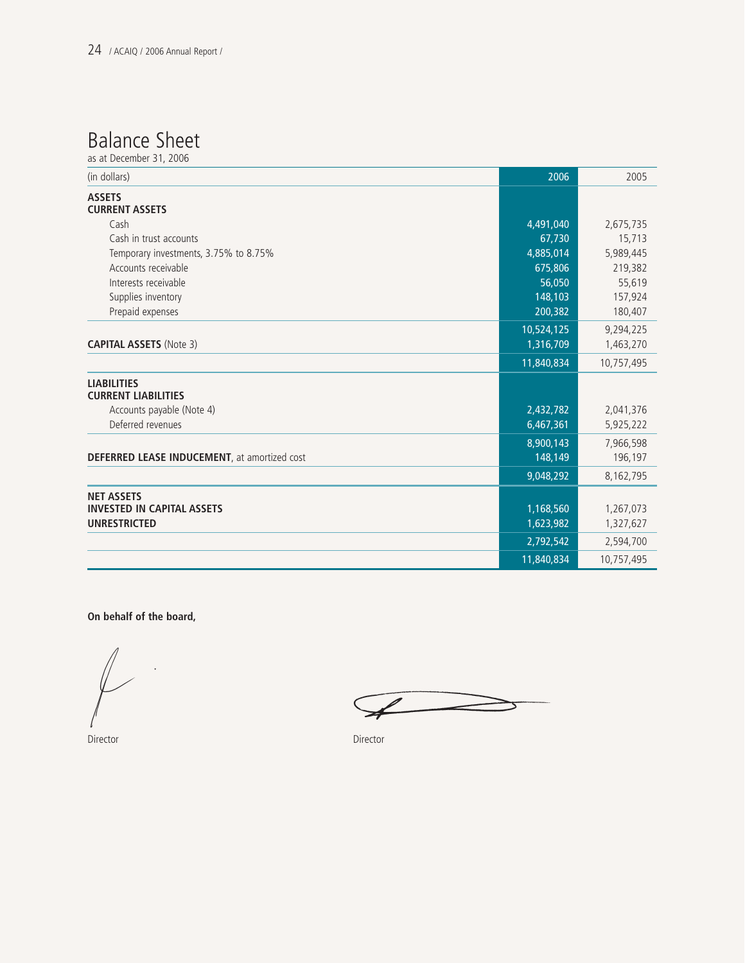## Balance Sheet

as at December 31, 2006

| (in dollars)                                     | 2006       | 2005       |
|--------------------------------------------------|------------|------------|
| <b>ASSETS</b><br><b>CURRENT ASSETS</b>           |            |            |
| Cash                                             | 4,491,040  | 2,675,735  |
| Cash in trust accounts                           | 67,730     | 15,713     |
| Temporary investments, 3.75% to 8.75%            | 4,885,014  | 5,989,445  |
| Accounts receivable                              |            |            |
|                                                  | 675,806    | 219,382    |
| Interests receivable                             | 56,050     | 55,619     |
| Supplies inventory                               | 148,103    | 157,924    |
| Prepaid expenses                                 | 200,382    | 180,407    |
|                                                  | 10,524,125 | 9,294,225  |
| <b>CAPITAL ASSETS (Note 3)</b>                   | 1,316,709  | 1,463,270  |
|                                                  | 11,840,834 | 10,757,495 |
| <b>LIABILITIES</b><br><b>CURRENT LIABILITIES</b> |            |            |
| Accounts payable (Note 4)                        | 2,432,782  | 2,041,376  |
| Deferred revenues                                | 6,467,361  | 5,925,222  |
|                                                  | 8,900,143  | 7,966,598  |
| DEFERRED LEASE INDUCEMENT, at amortized cost     | 148,149    | 196,197    |
|                                                  | 9,048,292  | 8,162,795  |
| <b>NET ASSETS</b>                                |            |            |
| <b>INVESTED IN CAPITAL ASSETS</b>                | 1,168,560  | 1,267,073  |
| <b>UNRESTRICTED</b>                              | 1,623,982  | 1,327,627  |
|                                                  | 2,792,542  | 2,594,700  |
|                                                  | 11,840,834 | 10,757,495 |

**On behalf of the board,**

Director Director

 $\sqrt{$  $\Rightarrow$  $\geq$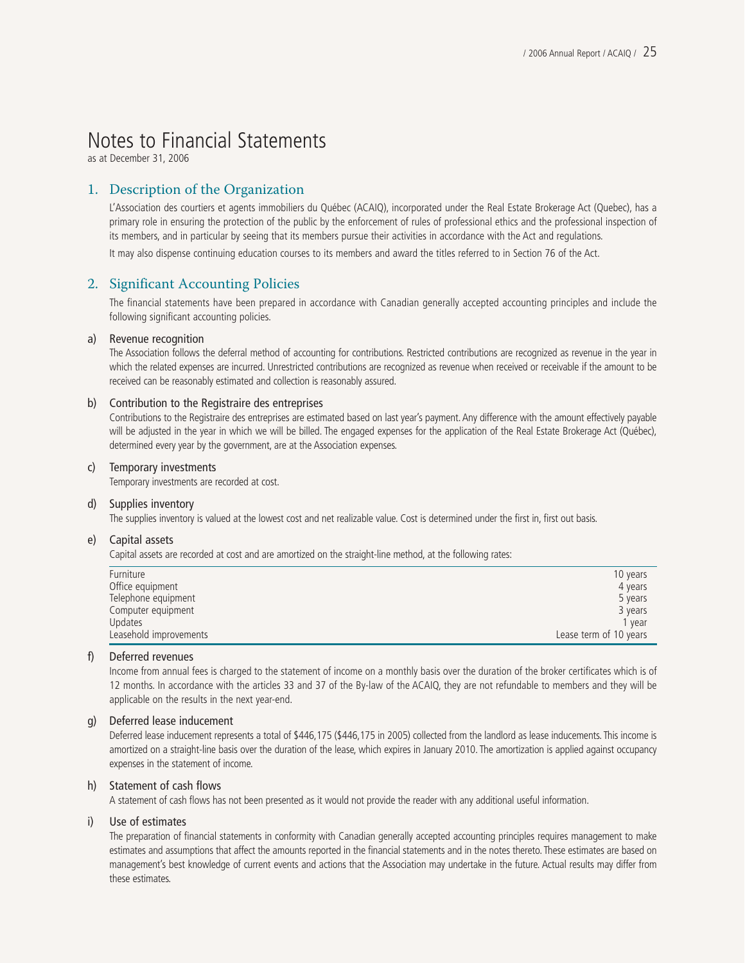## Notes to Financial Statements

as at December 31, 2006

#### 1. Description of the Organization

L'Association des courtiers et agents immobiliers du Québec (ACAIQ), incorporated under the Real Estate Brokerage Act (Quebec), has a primary role in ensuring the protection of the public by the enforcement of rules of professional ethics and the professional inspection of its members, and in particular by seeing that its members pursue their activities in accordance with the Act and regulations.

It may also dispense continuing education courses to its members and award the titles referred to in Section 76 of the Act.

#### 2. Significant Accounting Policies

The financial statements have been prepared in accordance with Canadian generally accepted accounting principles and include the following significant accounting policies.

#### a) Revenue recognition

The Association follows the deferral method of accounting for contributions. Restricted contributions are recognized as revenue in the year in which the related expenses are incurred. Unrestricted contributions are recognized as revenue when received or receivable if the amount to be received can be reasonably estimated and collection is reasonably assured.

#### b) Contribution to the Registraire des entreprises

Contributions to the Registraire des entreprises are estimated based on last year's payment. Any difference with the amount effectively payable will be adjusted in the year in which we will be billed. The engaged expenses for the application of the Real Estate Brokerage Act (Québec), determined every year by the government, are at the Association expenses.

#### c) Temporary investments

Temporary investments are recorded at cost.

#### d) Supplies inventory

The supplies inventory is valued at the lowest cost and net realizable value. Cost is determined under the first in, first out basis.

#### e) Capital assets

Capital assets are recorded at cost and are amortized on the straight-line method, at the following rates:

| Furniture              | 10 years               |
|------------------------|------------------------|
| Office equipment       | 4 years                |
| Telephone equipment    | 5 years                |
| Computer equipment     | 3 years                |
| <b>Updates</b>         | 1 vear                 |
| Leasehold improvements | Lease term of 10 years |

#### f) Deferred revenues

Income from annual fees is charged to the statement of income on a monthly basis over the duration of the broker certificates which is of 12 months. In accordance with the articles 33 and 37 of the By-law of the ACAIQ, they are not refundable to members and they will be applicable on the results in the next year-end.

#### g) Deferred lease inducement

Deferred lease inducement represents a total of \$446,175 (\$446,175 in 2005) collected from the landlord as lease inducements. This income is amortized on a straight-line basis over the duration of the lease, which expires in January 2010. The amortization is applied against occupancy expenses in the statement of income.

#### h) Statement of cash flows

A statement of cash flows has not been presented as it would not provide the reader with any additional useful information.

#### i) Use of estimates

The preparation of financial statements in conformity with Canadian generally accepted accounting principles requires management to make estimates and assumptions that affect the amounts reported in the financial statements and in the notes thereto. These estimates are based on management's best knowledge of current events and actions that the Association may undertake in the future. Actual results may differ from these estimates.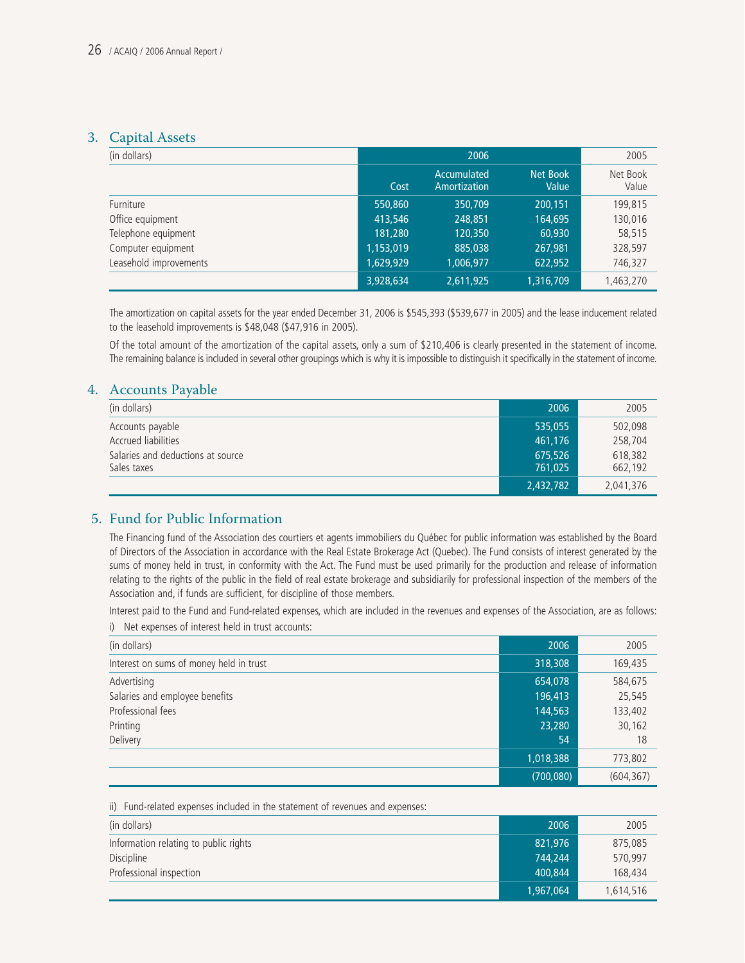#### 3. Capital Assets

| (in dollars)           |           | 2006                        |                   | 2005              |
|------------------------|-----------|-----------------------------|-------------------|-------------------|
|                        | Cost      | Accumulated<br>Amortization | Net Book<br>Value | Net Book<br>Value |
| Furniture              | 550,860   | 350,709                     | 200.151           | 199,815           |
| Office equipment       | 413,546   | 248,851                     | 164,695           | 130,016           |
| Telephone equipment    | 181.280   | 120,350                     | 60,930            | 58,515            |
| Computer equipment     | 1,153,019 | 885,038                     | 267,981           | 328,597           |
| Leasehold improvements | 1,629,929 | 1,006,977                   | 622,952           | 746,327           |
|                        | 3,928,634 | 2,611,925                   | 1,316,709         | 1,463,270         |

The amortization on capital assets for the year ended December 31, 2006 is \$545,393 (\$539,677 in 2005) and the lease inducement related to the leasehold improvements is \$48,048 (\$47,916 in 2005).

Of the total amount of the amortization of the capital assets, only a sum of \$210,406 is clearly presented in the statement of income. The remaining balance is included in several other groupings which is why it is impossible to distinguish it specifically in the statement of income.

#### 4. Accounts Payable

| (in dollars)                      | 2006      | 2005      |
|-----------------------------------|-----------|-----------|
| Accounts payable                  | 535,055   | 502,098   |
| Accrued liabilities               | 461.176   | 258,704   |
| Salaries and deductions at source | 675,526   | 618,382   |
| Sales taxes                       | 761.025   | 662,192   |
|                                   | 2,432,782 | 2,041,376 |

#### 5. Fund for Public Information

The Financing fund of the Association des courtiers et agents immobiliers du Québec for public information was established by the Board of Directors of the Association in accordance with the Real Estate Brokerage Act (Quebec). The Fund consists of interest generated by the sums of money held in trust, in conformity with the Act. The Fund must be used primarily for the production and release of information relating to the rights of the public in the field of real estate brokerage and subsidiarily for professional inspection of the members of the Association and, if funds are sufficient, for discipline of those members.

Interest paid to the Fund and Fund-related expenses, which are included in the revenues and expenses of the Association, are as follows:

| (in dollars)                            | 2006      | 2005       |
|-----------------------------------------|-----------|------------|
| Interest on sums of money held in trust | 318,308   | 169,435    |
| Advertising                             | 654,078   | 584,675    |
| Salaries and employee benefits          | 196,413   | 25,545     |
| Professional fees                       | 144,563   | 133,402    |
| Printing                                | 23,280    | 30,162     |
| Delivery                                | 54        | 18         |
|                                         | 1,018,388 | 773,802    |
|                                         | (700,080) | (604, 367) |

|  |  | i) Net expenses of interest held in trust accounts: |
|--|--|-----------------------------------------------------|

| ii) Fund-related expenses included in the statement of revenues and expenses: |           |           |
|-------------------------------------------------------------------------------|-----------|-----------|
| (in dollars)                                                                  | 2006      | 2005      |
| Information relating to public rights                                         | 821,976   | 875,085   |
| Discipline                                                                    | 744.244   | 570.997   |
| Professional inspection                                                       | 400,844   | 168.434   |
|                                                                               | 1,967,064 | 1,614,516 |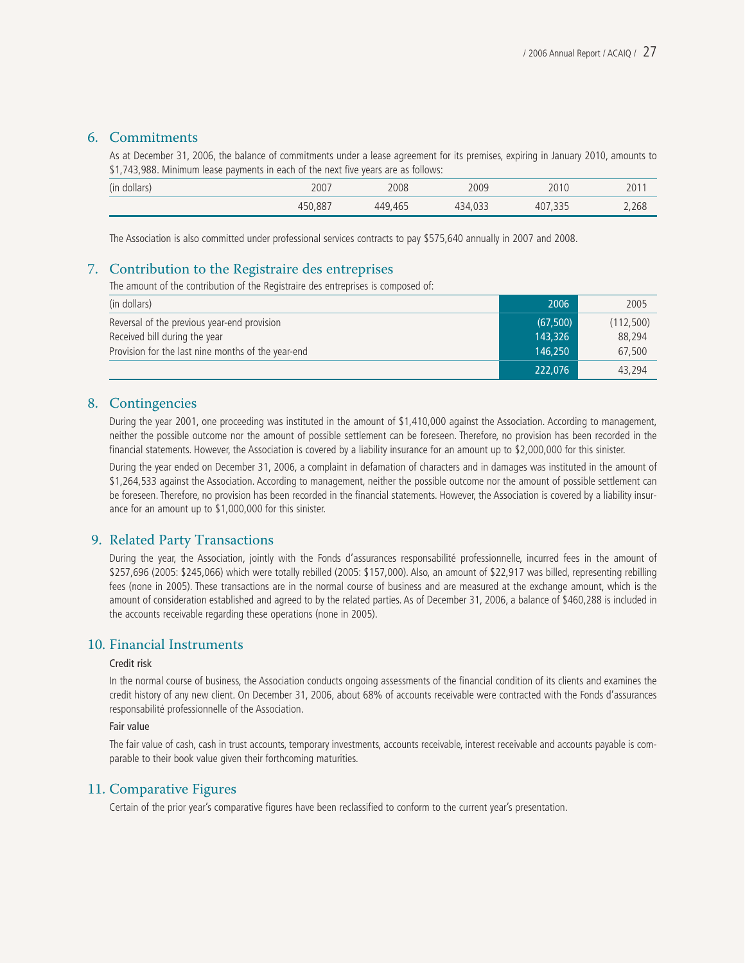#### 6. Commitments

As at December 31, 2006, the balance of commitments under a lease agreement for its premises, expiring in January 2010, amounts to \$1,743,988. Minimum lease payments in each of the next five years are as follows:

| (in dollars) | 2007    | 2008    | 2009    | 2010                  | 201   |
|--------------|---------|---------|---------|-----------------------|-------|
|              | 450.887 | 449,465 | 434,033 | 335<br>407<br>ر ر ر , | 2,268 |

The Association is also committed under professional services contracts to pay \$575,640 annually in 2007 and 2008.

#### 7. Contribution to the Registraire des entreprises

The amount of the contribution of the Registraire des entreprises is composed of:

| (in dollars)                                       | 2006      | 2005      |
|----------------------------------------------------|-----------|-----------|
| Reversal of the previous year-end provision        | (67, 500) | (112,500) |
| Received bill during the year                      | 143,326   | 88.294    |
| Provision for the last nine months of the year-end | 146,250   | 67.500    |
|                                                    | 222,076   | 43,294    |

#### 8. Contingencies

During the year 2001, one proceeding was instituted in the amount of \$1,410,000 against the Association. According to management, neither the possible outcome nor the amount of possible settlement can be foreseen. Therefore, no provision has been recorded in the financial statements. However, the Association is covered by a liability insurance for an amount up to \$2,000,000 for this sinister.

During the year ended on December 31, 2006, a complaint in defamation of characters and in damages was instituted in the amount of \$1,264,533 against the Association. According to management, neither the possible outcome nor the amount of possible settlement can be foreseen. Therefore, no provision has been recorded in the financial statements. However, the Association is covered by a liability insurance for an amount up to \$1,000,000 for this sinister.

#### 9. Related Party Transactions

During the year, the Association, jointly with the Fonds d'assurances responsabilité professionnelle, incurred fees in the amount of \$257,696 (2005: \$245,066) which were totally rebilled (2005: \$157,000). Also, an amount of \$22,917 was billed, representing rebilling fees (none in 2005). These transactions are in the normal course of business and are measured at the exchange amount, which is the amount of consideration established and agreed to by the related parties. As of December 31, 2006, a balance of \$460,288 is included in the accounts receivable regarding these operations (none in 2005).

#### 10. Financial Instruments

#### Credit risk

In the normal course of business, the Association conducts ongoing assessments of the financial condition of its clients and examines the credit history of any new client. On December 31, 2006, about 68% of accounts receivable were contracted with the Fonds d'assurances responsabilité professionnelle of the Association.

#### Fair value

The fair value of cash, cash in trust accounts, temporary investments, accounts receivable, interest receivable and accounts payable is comparable to their book value given their forthcoming maturities.

#### 11. Comparative Figures

Certain of the prior year's comparative figures have been reclassified to conform to the current year's presentation.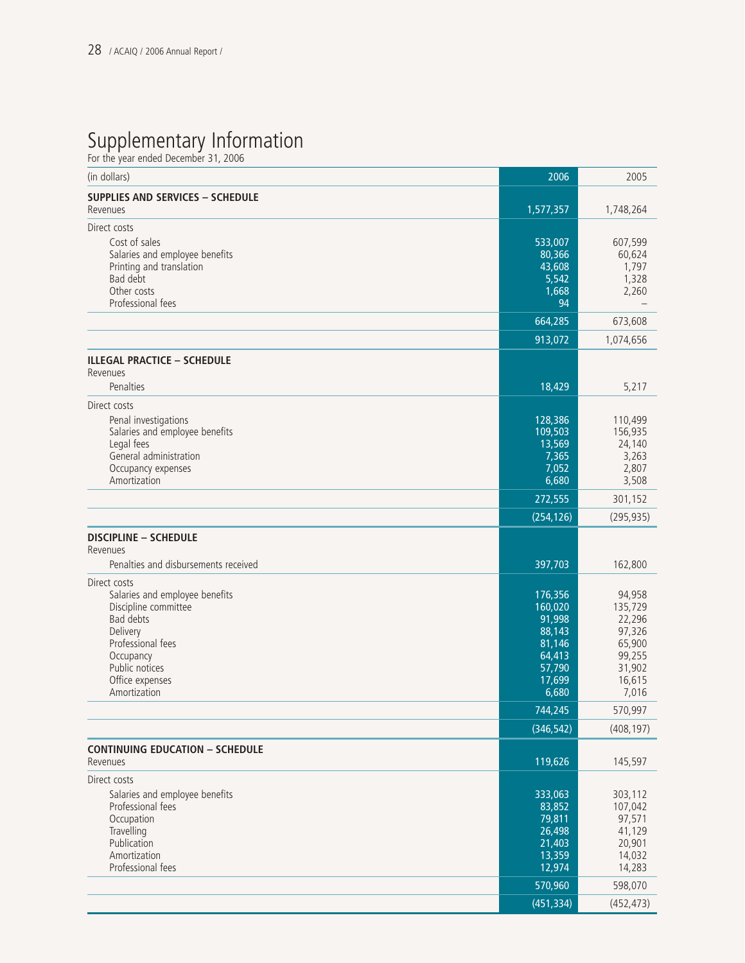## Supplementary Information

For the year ended December 31, 2006

| (in dollars)                                                                                                                                                                           | 2006                                                                                    | 2005                                                                                   |
|----------------------------------------------------------------------------------------------------------------------------------------------------------------------------------------|-----------------------------------------------------------------------------------------|----------------------------------------------------------------------------------------|
| <b>SUPPLIES AND SERVICES - SCHEDULE</b><br>Revenues                                                                                                                                    | 1,577,357                                                                               | 1,748,264                                                                              |
| Direct costs<br>Cost of sales<br>Salaries and employee benefits<br>Printing and translation<br>Bad debt<br>Other costs<br>Professional fees                                            | 533,007<br>80,366<br>43,608<br>5,542<br>1,668<br>94                                     | 607,599<br>60,624<br>1,797<br>1,328<br>2,260                                           |
|                                                                                                                                                                                        | 664,285                                                                                 | 673,608                                                                                |
|                                                                                                                                                                                        | 913,072                                                                                 | 1,074,656                                                                              |
| <b>ILLEGAL PRACTICE - SCHEDULE</b><br>Revenues<br>Penalties                                                                                                                            | 18,429                                                                                  | 5,217                                                                                  |
| Direct costs<br>Penal investigations<br>Salaries and employee benefits<br>Legal fees<br>General administration<br>Occupancy expenses<br>Amortization                                   | 128,386<br>109,503<br>13,569<br>7,365<br>7,052<br>6,680                                 | 110,499<br>156,935<br>24,140<br>3,263<br>2,807<br>3,508                                |
|                                                                                                                                                                                        | 272,555                                                                                 | 301,152                                                                                |
|                                                                                                                                                                                        | (254, 126)                                                                              | (295, 935)                                                                             |
| <b>DISCIPLINE - SCHEDULE</b><br>Revenues<br>Penalties and disbursements received                                                                                                       | 397,703                                                                                 | 162,800                                                                                |
| Direct costs<br>Salaries and employee benefits<br>Discipline committee<br>Bad debts<br>Delivery<br>Professional fees<br>Occupancy<br>Public notices<br>Office expenses<br>Amortization | 176,356<br>160,020<br>91,998<br>88,143<br>81,146<br>64,413<br>57,790<br>17,699<br>6,680 | 94,958<br>135,729<br>22,296<br>97,326<br>65,900<br>99,255<br>31,902<br>16,615<br>7,016 |
|                                                                                                                                                                                        | 744,245                                                                                 | 570,997                                                                                |
|                                                                                                                                                                                        | (346, 542)                                                                              | (408, 197)                                                                             |
| <b>CONTINUING EDUCATION - SCHEDULE</b><br>Revenues                                                                                                                                     | 119,626                                                                                 | 145,597                                                                                |
| Direct costs<br>Salaries and employee benefits<br>Professional fees<br>Occupation<br>Travelling<br>Publication<br>Amortization<br>Professional fees                                    | 333,063<br>83,852<br>79,811<br>26,498<br>21,403<br>13,359<br>12,974<br>570,960          | 303,112<br>107,042<br>97,571<br>41,129<br>20,901<br>14,032<br>14,283<br>598,070        |
|                                                                                                                                                                                        | (451, 334)                                                                              | (452, 473)                                                                             |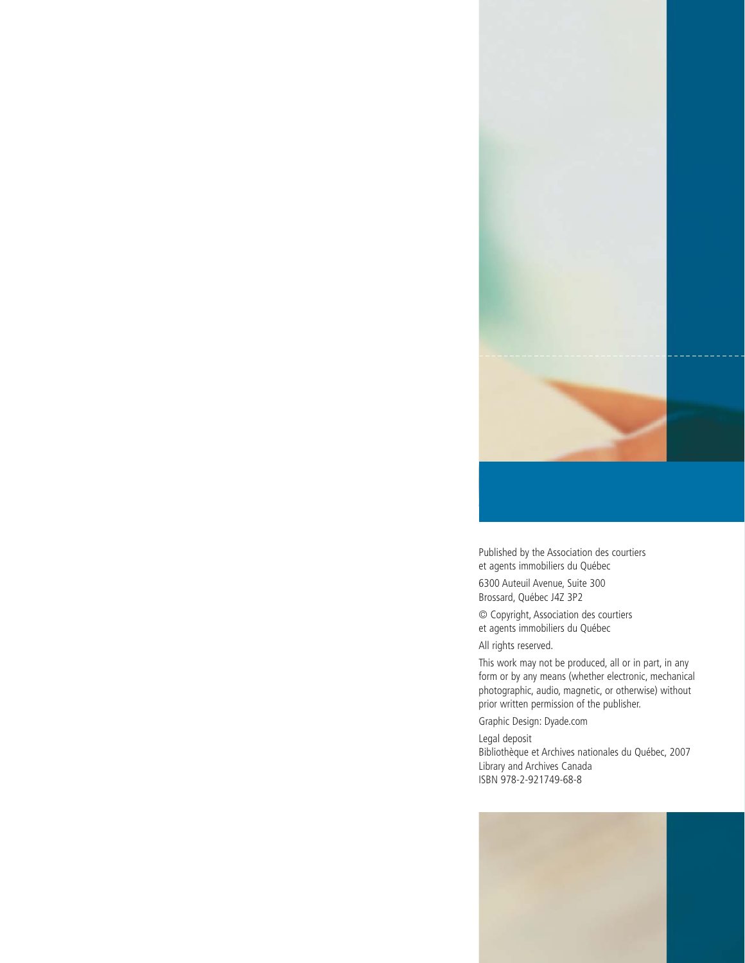

Published by the Association des courtiers et agents immobiliers du Québec 6300 Auteuil Avenue, Suite 300 Brossard, Québec J4Z 3P2

© Copyright, Association des courtiers et agents immobiliers du Québec

All rights reserved.

This work may not be produced, all or in part, in any form or by any means (whether electronic, mechanical photographic, audio, magnetic, or otherwise) without prior written permission of the publisher.

Graphic Design: Dyade.com

Legal deposit Bibliothèque et Archives nationales du Québec, 2007 Library and Archives Canada ISBN 978-2-921749-68-8